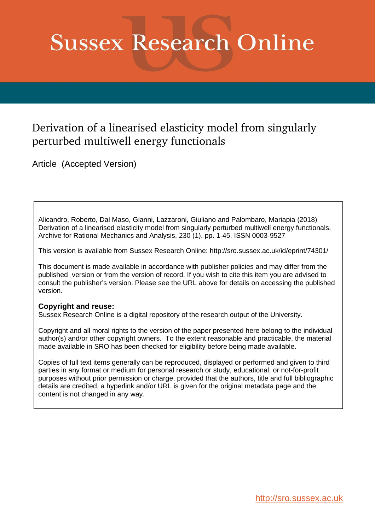# **Sussex Research Online**

# Derivation of a linearised elasticity model from singularly perturbed multiwell energy functionals

Article (Accepted Version)

Alicandro, Roberto, Dal Maso, Gianni, Lazzaroni, Giuliano and Palombaro, Mariapia (2018) Derivation of a linearised elasticity model from singularly perturbed multiwell energy functionals. Archive for Rational Mechanics and Analysis, 230 (1). pp. 1-45. ISSN 0003-9527

This version is available from Sussex Research Online: http://sro.sussex.ac.uk/id/eprint/74301/

This document is made available in accordance with publisher policies and may differ from the published version or from the version of record. If you wish to cite this item you are advised to consult the publisher's version. Please see the URL above for details on accessing the published version.

## **Copyright and reuse:**

Sussex Research Online is a digital repository of the research output of the University.

Copyright and all moral rights to the version of the paper presented here belong to the individual author(s) and/or other copyright owners. To the extent reasonable and practicable, the material made available in SRO has been checked for eligibility before being made available.

Copies of full text items generally can be reproduced, displayed or performed and given to third parties in any format or medium for personal research or study, educational, or not-for-profit purposes without prior permission or charge, provided that the authors, title and full bibliographic details are credited, a hyperlink and/or URL is given for the original metadata page and the content is not changed in any way.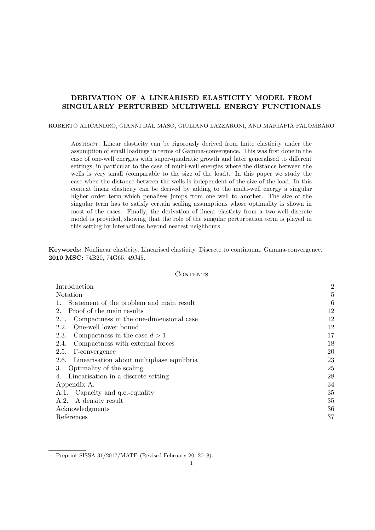### DERIVATION OF A LINEARISED ELASTICITY MODEL FROM SINGULARLY PERTURBED MULTIWELL ENERGY FUNCTIONALS

ROBERTO ALICANDRO, GIANNI DAL MASO, GIULIANO LAZZARONI, AND MARIAPIA PALOMBARO

Abstract. Linear elasticity can be rigorously derived from finite elasticity under the assumption of small loadings in terms of Gamma-convergence. This was first done in the case of one-well energies with super-quadratic growth and later generalised to different settings, in particular to the case of multi-well energies where the distance between the wells is very small (comparable to the size of the load). In this paper we study the case when the distance between the wells is independent of the size of the load. In this context linear elasticity can be derived by adding to the multi-well energy a singular higher order term which penalises jumps from one well to another. The size of the singular term has to satisfy certain scaling assumptions whose optimality is shown in most of the cases. Finally, the derivation of linear elasticty from a two-well discrete model is provided, showing that the role of the singular perturbation term is played in this setting by interactions beyond nearest neighbours.

Keywords: Nonlinear elasticity, Linearised elasticity, Discrete to continuum, Gamma-convergence. 2010 MSC: 74B20, 74G65, 49J45.

#### **CONTENTS**

| Introduction                                      | $\overline{2}$ |
|---------------------------------------------------|----------------|
| Notation                                          | 5              |
| Statement of the problem and main result          | 6              |
| Proof of the main results<br>$2_{-}$              | 12             |
| Compactness in the one-dimensional case<br>2.1.   | 12             |
| One-well lower bound<br>2.2.                      | 12             |
| Compactness in the case $d > 1$<br>2.3.           | 17             |
| Compactness with external forces<br>2.4.          | 18             |
| <b>2.5.</b><br>$\Gamma$ -convergence              | 20             |
| Linearisation about multiphase equilibria<br>2.6. | 23             |
| Optimality of the scaling<br>3.                   | 25             |
| Linearisation in a discrete setting<br>4.         | 28             |
| Appendix A.                                       | 34             |
| A.1. Capacity and q.e.-equality                   | 35             |
| A.2.<br>A density result                          | 35             |
| Acknowledgments                                   | 36             |
| References                                        | 37             |
|                                                   |                |

Preprint SISSA 31/2017/MATE (Revised February 20, 2018).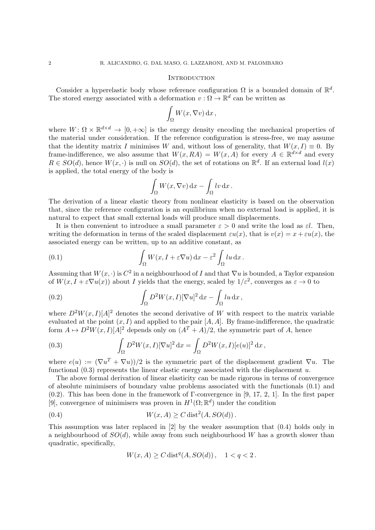#### **INTRODUCTION**

Consider a hyperelastic body whose reference configuration  $\Omega$  is a bounded domain of  $\mathbb{R}^d$ . The stored energy associated with a deformation  $v : \Omega \to \mathbb{R}^d$  can be written as

$$
\int_{\Omega} W(x,\nabla v) \, \mathrm{d}x \, ,
$$

where  $W: \Omega \times \mathbb{R}^{d \times d} \to [0, +\infty]$  is the energy density encoding the mechanical properties of the material under consideration. If the reference configuration is stress-free, we may assume that the identity matrix I minimises W and, without loss of generality, that  $W(x, I) \equiv 0$ . By frame-indifference, we also assume that  $W(x, RA) = W(x, A)$  for every  $A \in \mathbb{R}^{d \times d}$  and every  $R \in SO(d)$ , hence  $W(x, \cdot)$  is null on  $SO(d)$ , the set of rotations on  $\mathbb{R}^d$ . If an external load  $l(x)$ is applied, the total energy of the body is

$$
\int_{\Omega} W(x, \nabla v) \, \mathrm{d}x - \int_{\Omega} \ln u \, \mathrm{d}x \, .
$$

The derivation of a linear elastic theory from nonlinear elasticity is based on the observation that, since the reference configuration is an equilibrium when no external load is applied, it is natural to expect that small external loads will produce small displacements.

It is then convenient to introduce a small parameter  $\varepsilon > 0$  and write the load as  $\varepsilon l$ . Then, writing the deformation in terms of the scaled displacement  $\varepsilon u(x)$ , that is  $v(x) = x + \varepsilon u(x)$ , the associated energy can be written, up to an additive constant, as

(0.1) 
$$
\int_{\Omega} W(x, I + \varepsilon \nabla u) dx - \varepsilon^2 \int_{\Omega} l u dx.
$$

Assuming that  $W(x, \cdot)$  is  $C^2$  in a neighbourhood of I and that  $\nabla u$  is bounded, a Taylor expansion of  $W(x, I + \varepsilon \nabla u(x))$  about I yields that the energy, scaled by  $1/\varepsilon^2$ , converges as  $\varepsilon \to 0$  to

(0.2) 
$$
\int_{\Omega} D^2 W(x,I) [\nabla u]^2 dx - \int_{\Omega} l u dx,
$$

where  $D^2W(x,I)[A]^2$  denotes the second derivative of W with respect to the matrix variable evaluated at the point  $(x, I)$  and applied to the pair  $[A, A]$ . By frame-indifference, the quadratic form  $A \mapsto D^2W(x, I)[A]^2$  depends only on  $(A^T + A)/2$ , the symmetric part of A, hence

(0.3) 
$$
\int_{\Omega} D^2 W(x, I) [\nabla u]^2 dx = \int_{\Omega} D^2 W(x, I) [e(u)]^2 dx,
$$

where  $e(u) := (\nabla u^T + \nabla u)/2$  is the symmetric part of the displacement gradient  $\nabla u$ . The functional  $(0.3)$  represents the linear elastic energy associated with the displacement u.

The above formal derivation of linear elasticity can be made rigorous in terms of convergence of absolute minimisers of boundary value problems associated with the functionals (0.1) and (0.2). This has been done in the framework of Γ-convergence in [9, 17, 2, 1]. In the first paper [9], convergence of minimisers was proven in  $H^1(\Omega;\mathbb{R}^d)$  under the condition

(0.4) 
$$
W(x, A) \geq C \operatorname{dist}^2(A, SO(d)).
$$

This assumption was later replaced in [2] by the weaker assumption that (0.4) holds only in a neighbourhood of  $SO(d)$ , while away from such neighbourhood W has a growth slower than quadratic, specifically,

$$
W(x, A) \ge C \, dist^q(A, SO(d)), \quad 1 < q < 2 \, .
$$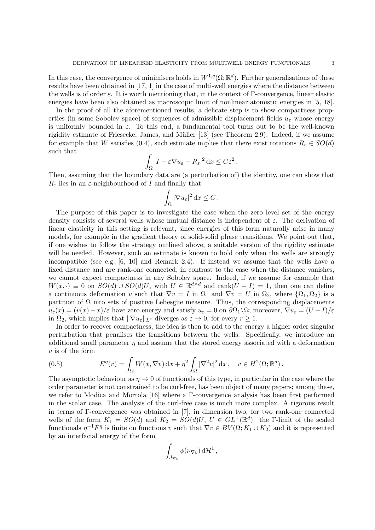In this case, the convergence of minimisers holds in  $W^{1,q}(\Omega;\mathbb{R}^d)$ . Further generalisations of these results have been obtained in [17, 1] in the case of multi-well energies where the distance between the wells is of order  $\varepsilon$ . It is worth mentioning that, in the context of  $\Gamma$ -convergence, linear elastic energies have been also obtained as macroscopic limit of nonlinear atomistic energies in [5, 18].

In the proof of all the aforementioned results, a delicate step is to show compactness properties (in some Sobolev space) of sequences of admissible displacement fields  $u_{\varepsilon}$  whose energy is uniformly bounded in  $\varepsilon$ . To this end, a fundamental tool turns out to be the well-known rigidity estimate of Friesecke, James, and Müller [13] (see Theorem 2.9). Indeed, if we assume for example that W satisfies (0.4), such estimate implies that there exist rotations  $R_{\varepsilon} \in SO(d)$ such that

$$
\int_{\Omega} |I + \varepsilon \nabla u_{\varepsilon} - R_{\varepsilon}|^2 \, \mathrm{d}x \leq C \varepsilon^2 \, .
$$

Then, assuming that the boundary data are (a perturbation of) the identity, one can show that  $R_{\varepsilon}$  lies in an  $\varepsilon$ -neighbourhood of I and finally that

$$
\int_{\Omega} |\nabla u_{\varepsilon}|^2 \, \mathrm{d}x \leq C \, .
$$

The purpose of this paper is to investigate the case when the zero level set of the energy density consists of several wells whose mutual distance is independent of  $\varepsilon$ . The derivation of linear elasticity in this setting is relevant, since energies of this form naturally arise in many models, for example in the gradient theory of solid-solid phase transitions. We point out that, if one wishes to follow the strategy outlined above, a suitable version of the rigidity estimate will be needed. However, such an estimate is known to hold only when the wells are strongly incompatible (see e.g. [6, 10] and Remark 2.4). If instead we assume that the wells have a fixed distance and are rank-one connected, in contrast to the case when the distance vanishes, we cannot expect compactness in any Sobolev space. Indeed, if we assume for example that  $W(x, \cdot) \equiv 0$  on  $SO(d) \cup SO(d)U$ , with  $U \in \mathbb{R}^{d \times d}$  and rank $(U - I) = 1$ , then one can define a continuous deformation v such that  $\nabla v = I$  in  $\Omega_1$  and  $\nabla v = U$  in  $\Omega_2$ , where  $\{\Omega_1, \Omega_2\}$  is a partition of  $\Omega$  into sets of positive Lebesgue measure. Thus, the corresponding displacements  $u_{\varepsilon}(x) = (v(x) - x)/\varepsilon$  have zero energy and satisfy  $u_{\varepsilon} = 0$  on  $\partial \Omega_1 \backslash \Omega$ ; moreover,  $\nabla u_{\varepsilon} = (U - I)/\varepsilon$ in  $\Omega_2$ , which implies that  $\|\nabla u_{\varepsilon}\|_{L^r}$  diverges as  $\varepsilon \to 0$ , for every  $r \geq 1$ .

In order to recover compactness, the idea is then to add to the energy a higher order singular perturbation that penalises the transitions between the wells. Specifically, we introduce an additional small parameter  $\eta$  and assume that the stored energy associated with a deformation v is of the form

(0.5) 
$$
E^{\eta}(v) = \int_{\Omega} W(x, \nabla v) dx + \eta^2 \int_{\Omega} |\nabla^2 v|^2 dx, \quad v \in H^2(\Omega; \mathbb{R}^d).
$$

The asymptotic behaviour as  $\eta \to 0$  of functionals of this type, in particular in the case where the order parameter is not constrained to be curl-free, has been object of many papers; among these, we refer to Modica and Mortola [16] where a Γ-convergence analysis has been first performed in the scalar case. The analysis of the curl-free case is much more complex. A rigorous result in terms of Γ-convergence was obtained in [7], in dimension two, for two rank-one connected wells of the form  $K_1 = SO(d)$  and  $K_2 = SO(d)U, U \in GL^+(\mathbb{R}^d)$ : the *Γ*-limit of the scaled functionals  $\eta^{-1}F^{\eta}$  is finite on functions v such that  $\nabla v \in BV(\Omega; K_1 \cup K_2)$  and it is represented by an interfacial energy of the form

$$
\int_{J_{\nabla v}} \phi(\nu_{\nabla v}) \, d\mathcal{H}^1 \,,
$$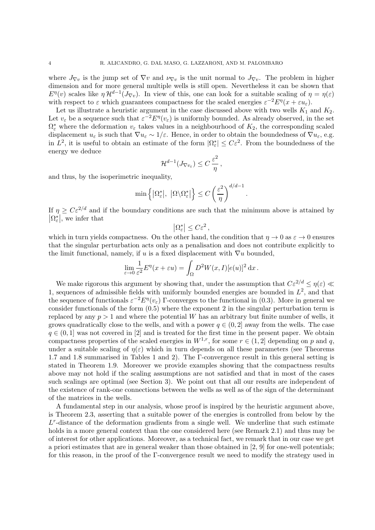where  $J_{\nabla v}$  is the jump set of  $\nabla v$  and  $\nu_{\nabla v}$  is the unit normal to  $J_{\nabla v}$ . The problem in higher dimension and for more general multiple wells is still open. Nevertheless it can be shown that  $E^{\eta}(v)$  scales like  $\eta \mathcal{H}^{d-1}(J_{\nabla v})$ . In view of this, one can look for a suitable scaling of  $\eta = \eta(\varepsilon)$ with respect to  $\varepsilon$  which guarantees compactness for the scaled energies  $\varepsilon^{-2} E^{\eta}(x + \varepsilon u_{\varepsilon})$ .

Let us illustrate a heuristic argument in the case discussed above with two wells  $K_1$  and  $K_2$ . Let  $v_{\varepsilon}$  be a sequence such that  $\varepsilon^{-2} E^{\eta}(v_{\varepsilon})$  is uniformly bounded. As already observed, in the set  $\Omega_{\varepsilon}^*$  where the deformation  $v_{\varepsilon}$  takes values in a neighbourhood of  $K_2$ , the corresponding scaled displacement  $u_{\varepsilon}$  is such that  $\nabla u_{\varepsilon} \sim 1/\varepsilon$ . Hence, in order to obtain the boundedness of  $\nabla u_{\varepsilon}$ , e.g. in  $L^2$ , it is useful to obtain an estimate of the form  $|\Omega^*_{\varepsilon}| \leq C\varepsilon^2$ . From the boundedness of the energy we deduce

$$
\mathcal{H}^{d-1}(J_{\nabla v_{\varepsilon}}) \leq C \, \frac{\varepsilon^2}{\eta} \, ,
$$

and thus, by the isoperimetric inequality,

$$
\min\left\{|\Omega_{\varepsilon}^*|,\ |\Omega \setminus \Omega_{\varepsilon}^*|\right\} \le C\left(\frac{\varepsilon^2}{\eta}\right)^{d/d - 1}
$$

.

If  $\eta \geq C \varepsilon^{2/d}$  and if the boundary conditions are such that the minimum above is attained by  $\left|\Omega_{\varepsilon}^{*}\right|$ , we infer that

$$
\left|\Omega^*_\varepsilon\right|\le C\varepsilon^2
$$

,

which in turn yields compactness. On the other hand, the condition that  $\eta \to 0$  as  $\varepsilon \to 0$  ensures that the singular perturbation acts only as a penalisation and does not contribute explicitly to the limit functional, namely, if u is a fixed displacement with  $\nabla u$  bounded,

$$
\lim_{\varepsilon \to 0} \frac{1}{\varepsilon^2} E^{\eta}(x + \varepsilon u) = \int_{\Omega} D^2 W(x, I) [e(u)]^2 dx.
$$

We make rigorous this argument by showing that, under the assumption that  $C\varepsilon^{2/d} \le \eta(\varepsilon) \ll$ 1, sequences of admissible fields with uniformly bounded energies are bounded in  $L^2$ , and that the sequence of functionals  $\varepsilon^{-2} E^{\eta}(v_{\varepsilon})$  Γ-converges to the functional in (0.3). More in general we consider functionals of the form (0.5) where the exponent 2 in the singular perturbation term is replaced by any  $p > 1$  and where the potential W has an arbitrary but finite number of wells, it grows quadratically close to the wells, and with a power  $q \in (0, 2]$  away from the wells. The case  $q \in (0,1]$  was not covered in [2] and is treated for the first time in the present paper. We obtain compactness properties of the scaled energies in  $W^{1,r}$ , for some  $r \in (1, 2]$  depending on p and q, under a suitable scaling of  $\eta(\varepsilon)$  which in turn depends on all these parameters (see Theorems 1.7 and 1.8 summarised in Tables 1 and 2). The Γ-convergence result in this general setting is stated in Theorem 1.9. Moreover we provide examples showing that the compactness results above may not hold if the scaling assumptions are not satisfied and that in most of the cases such scalings are optimal (see Section 3). We point out that all our results are independent of the existence of rank-one connections between the wells as well as of the sign of the determinant of the matrices in the wells.

A fundamental step in our analysis, whose proof is inspired by the heuristic argument above, is Theorem 2.3, asserting that a suitable power of the energies is controlled from below by the  $L<sup>r</sup>$ -distance of the deformation gradients from a single well. We underline that such estimate holds in a more general context than the one considered here (see Remark 2.1) and thus may be of interest for other applications. Moreover, as a technical fact, we remark that in our case we get a priori estimates that are in general weaker than those obtained in [2, 9] for one-well potentials; for this reason, in the proof of the Γ-convergence result we need to modify the strategy used in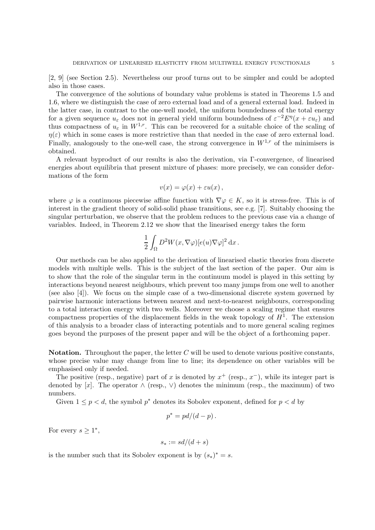[2, 9] (see Section 2.5). Nevertheless our proof turns out to be simpler and could be adopted also in those cases.

The convergence of the solutions of boundary value problems is stated in Theorems 1.5 and 1.6, where we distinguish the case of zero external load and of a general external load. Indeed in the latter case, in contrast to the one-well model, the uniform boundedness of the total energy for a given sequence  $u_{\varepsilon}$  does not in general yield uniform boundedness of  $\varepsilon^{-2} E^{\eta}(x + \varepsilon u_{\varepsilon})$  and thus compactness of  $u_{\varepsilon}$  in  $W^{1,r}$ . This can be recovered for a suitable choice of the scaling of  $\eta(\varepsilon)$  which in some cases is more restrictive than that needed in the case of zero external load. Finally, analogously to the one-well case, the strong convergence in  $W^{1,r}$  of the minimisers is obtained.

A relevant byproduct of our results is also the derivation, via Γ-convergence, of linearised energies about equilibria that present mixture of phases: more precisely, we can consider deformations of the form

$$
v(x) = \varphi(x) + \varepsilon u(x) ,
$$

where  $\varphi$  is a continuous piecewise affine function with  $\nabla \varphi \in K$ , so it is stress-free. This is of interest in the gradient theory of solid-solid phase transitions, see e.g. [7]. Suitably choosing the singular perturbation, we observe that the problem reduces to the previous case via a change of variables. Indeed, in Theorem 2.12 we show that the linearised energy takes the form

$$
\frac{1}{2}\int_{\Omega}D^2W(x,\nabla\varphi)[e(u)\nabla\varphi]^2\,\mathrm{d} x\,.
$$

Our methods can be also applied to the derivation of linearised elastic theories from discrete models with multiple wells. This is the subject of the last section of the paper. Our aim is to show that the role of the singular term in the continuum model is played in this setting by interactions beyond nearest neighbours, which prevent too many jumps from one well to another (see also [4]). We focus on the simple case of a two-dimensional discrete system governed by pairwise harmonic interactions between nearest and next-to-nearest neighbours, corresponding to a total interaction energy with two wells. Moreover we choose a scaling regime that ensures compactness properties of the displacement fields in the weak topology of  $H<sup>1</sup>$ . The extension of this analysis to a broader class of interacting potentials and to more general scaling regimes goes beyond the purposes of the present paper and will be the object of a forthcoming paper.

**Notation.** Throughout the paper, the letter  $C$  will be used to denote various positive constants, whose precise value may change from line to line; its dependence on other variables will be emphasised only if needed.

The positive (resp., negative) part of x is denoted by  $x^+$  (resp.,  $x^-$ ), while its integer part is denoted by [x]. The operator  $\wedge$  (resp.,  $\vee$ ) denotes the minimum (resp., the maximum) of two numbers.

Given  $1 \leq p < d$ , the symbol  $p^*$  denotes its Sobolev exponent, defined for  $p < d$  by

$$
p^* = pd/(d-p).
$$

For every  $s \geq 1^*$ ,

$$
s_* := sd/(d+s)
$$

is the number such that its Sobolev exponent is by  $(s_*)^* = s$ .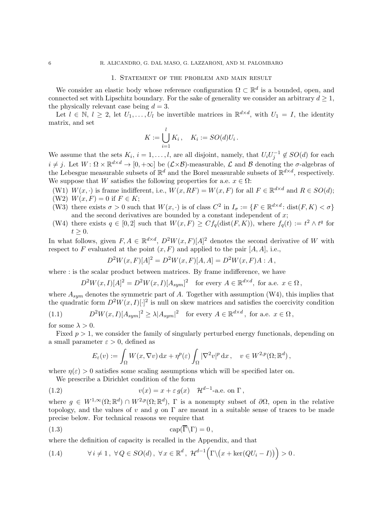#### 1. Statement of the problem and main result

We consider an elastic body whose reference configuration  $\Omega \subset \mathbb{R}^d$  is a bounded, open, and connected set with Lipschitz boundary. For the sake of generality we consider an arbitrary  $d \geq 1$ , the physically relevant case being  $d = 3$ .

Let  $l \in \mathbb{N}, l \geq 2$ , let  $U_1, \ldots, U_l$  be invertible matrices in  $\mathbb{R}^{d \times d}$ , with  $U_1 = I$ , the identity matrix, and set

$$
K := \bigcup_{i=1}^{l} K_i, \quad K_i := SO(d)U_i.
$$

We assume that the sets  $K_i$ ,  $i = 1, ..., l$ , are all disjoint, namely, that  $U_i U_j^{-1} \notin SO(d)$  for each  $i \neq j$ . Let  $W: \Omega \times \mathbb{R}^{d \times d} \to [0, +\infty]$  be  $(\mathcal{L} \times \mathcal{B})$ -measurable,  $\mathcal{L}$  and  $\mathcal{B}$  denoting the  $\sigma$ -algebras of the Lebesgue measurable subsets of  $\mathbb{R}^d$  and the Borel measurable subsets of  $\mathbb{R}^{d \times d}$ , respectively. We suppose that W satisfies the following properties for a.e.  $x \in \Omega$ :

- (W1)  $W(x, \cdot)$  is frame indifferent, i.e.,  $W(x, RF) = W(x, F)$  for all  $F \in \mathbb{R}^{d \times d}$  and  $R \in SO(d)$ ;
- (W2)  $W(x, F) = 0$  if  $F \in K$ ;
- (W3) there exists  $\sigma > 0$  such that  $W(x, \cdot)$  is of class  $C^2$  in  $I_{\sigma} := \{F \in \mathbb{R}^{d \times d} : \text{dist}(F, K) < \sigma\}$ and the second derivatives are bounded by a constant independent of  $x$ ;
- (W4) there exists  $q \in [0,2]$  such that  $W(x,F) \geq Cf_q(\text{dist}(F,K))$ , where  $f_q(t) := t^2 \wedge t^q$  for  $t \geq 0$ .

In what follows, given  $F, A \in \mathbb{R}^{d \times d}$ ,  $D^2 W(x, F)[A]^2$  denotes the second derivative of W with respect to F evaluated at the point  $(x, F)$  and applied to the pair  $[A, A]$ , i.e.,

$$
D^{2}W(x,F)[A]^{2} = D^{2}W(x,F)[A,A] = D^{2}W(x,F)A : A,
$$

where : is the scalar product between matrices. By frame indifference, we have

 $D^2W(x,I)[A]^2 = D^2W(x,I)[A_{sym}]^2$  for every  $A \in \mathbb{R}^{d \times d}$ , for a.e.  $x \in \Omega$ ,

where  $A_{sym}$  denotes the symmetric part of A. Together with assumption (W4), this implies that the quadratic form  $D^2W(x,I)[.]^2$  is null on skew matrices and satisfies the coercivity condition

 $(1.1)$  ${}^{2}W(x,I)[A_{sym}]^{2} \geq \lambda |A_{sym}|^{2}$  for every  $A \in \mathbb{R}^{d \times d}$ , for a.e.  $x \in \Omega$ ,

for some  $\lambda > 0$ .

Fixed  $p > 1$ , we consider the family of singularly perturbed energy functionals, depending on a small parameter  $\varepsilon > 0$ , defined as

$$
E_{\varepsilon}(v) := \int_{\Omega} W(x, \nabla v) \,dx + \eta^{p}(\varepsilon) \int_{\Omega} |\nabla^{2} v|^{p} \,dx, \quad v \in W^{2, p}(\Omega; \mathbb{R}^{d}),
$$

where  $\eta(\varepsilon) > 0$  satisfies some scaling assumptions which will be specified later on.

We prescribe a Dirichlet condition of the form

(1.2) 
$$
v(x) = x + \varepsilon g(x) \quad \mathcal{H}^{d-1}\text{-a.e. on } \Gamma,
$$

where  $g \in W^{1,\infty}(\Omega;\mathbb{R}^d) \cap W^{2,p}(\Omega;\mathbb{R}^d)$ ,  $\Gamma$  is a nonempty subset of  $\partial\Omega$ , open in the relative topology, and the values of v and g on  $\Gamma$  are meant in a suitable sense of traces to be made precise below. For technical reasons we require that

$$
(1.3)\qquad \qquad \text{cap}(\overline{\Gamma}\backslash\Gamma)=0\,,
$$

where the definition of capacity is recalled in the Appendix, and that

(1.4) 
$$
\forall i \neq 1, \ \forall Q \in SO(d), \ \forall x \in \mathbb{R}^d, \ \mathcal{H}^{d-1}(\Gamma \setminus (x + \ker (QU_i - I))) > 0.
$$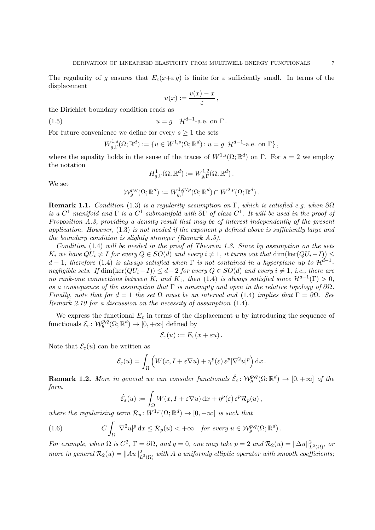The regularity of g ensures that  $E_{\varepsilon}(x+\varepsilon g)$  is finite for  $\varepsilon$  sufficiently small. In terms of the displacement

$$
u(x) := \frac{v(x) - x}{\varepsilon},
$$

the Dirichlet boundary condition reads as

(1.5) 
$$
u = g \quad \mathcal{H}^{d-1}\text{-a.e. on } \Gamma.
$$

For future convenience we define for every  $s \geq 1$  the sets

$$
W_{g,\Gamma}^{1,s}(\Omega; \mathbb{R}^d) := \{ u \in W^{1,s}(\Omega; \mathbb{R}^d) : u = g \mathcal{H}^{d-1}\text{-a.e. on } \Gamma \},
$$

where the equality holds in the sense of the traces of  $W^{1,s}(\Omega;\mathbb{R}^d)$  on  $\Gamma$ . For  $s=2$  we employ the notation

$$
H^1_{g,\Gamma}(\Omega;\mathbb{R}^d):=W^{1,2}_{g,\Gamma}(\Omega;\mathbb{R}^d).
$$

We set

$$
\mathcal{W}^{p,q}_g(\Omega;\mathbb{R}^d):=W^{1,q \vee p}_{g,\Gamma}(\Omega;\mathbb{R}^d) \cap W^{2,p}(\Omega;\mathbb{R}^d).
$$

Remark 1.1. Condition (1.3) is a regularity assumption on Γ, which is satisfied e.g. when  $\partial\Omega$ is a  $C^1$  manifold and  $\Gamma$  is a  $C^1$  submanifold with  $\partial \Gamma$  of class  $C^1$ . It will be used in the proof of Proposition A.3, providing a density result that may be of interest independently of the present application. However, (1.3) is not needed if the exponent p defined above is sufficiently large and the boundary condition is slightly stronger (Remark A.5).

Condition (1.4) will be needed in the proof of Theorem 1.8. Since by assumption on the sets  $K_i$  we have  $QU_i \neq I$  for every  $Q \in SO(d)$  and every  $i \neq 1$ , it turns out that  $\dim(\ker (QU_i-I)) \leq I$ d − 1; therefore (1.4) is always satisfied when  $\Gamma$  is not contained in a hyperplane up to  $\mathcal{H}^{d-1}$ negligible sets. If  $\dim(\ker(QU_i - I)) \leq d-2$  for every  $Q \in SO(d)$  and every  $i \neq 1$ , i.e., there are no rank-one connections between  $K_i$  and  $K_1$ , then (1.4) is always satisfied since  $\mathcal{H}^{d-1}(\Gamma) > 0$ , as a consequence of the assumption that  $\Gamma$  is nonempty and open in the relative topology of  $\partial\Omega$ . Finally, note that for  $d = 1$  the set  $\Omega$  must be an interval and (1.4) implies that  $\Gamma = \partial \Omega$ . See Remark 2.10 for a discussion on the necessity of assumption (1.4).

We express the functional  $E_{\varepsilon}$  in terms of the displacement u by introducing the sequence of functionals  $\mathcal{E}_{\varepsilon}$ :  $\mathcal{W}^{p,q}_g(\Omega;\mathbb{R}^d) \to [0, +\infty]$  defined by

$$
\mathcal{E}_{\varepsilon}(u) := E_{\varepsilon}(x + \varepsilon u).
$$

Note that  $\mathcal{E}_{\varepsilon}(u)$  can be written as

$$
\mathcal{E}_{\varepsilon}(u) = \int_{\Omega} \left( W(x, I + \varepsilon \nabla u) + \eta^{p}(\varepsilon) \, \varepsilon^{p} |\nabla^{2} u|^{p} \right) dx.
$$

**Remark 1.2.** More in general we can consider functionals  $\hat{\mathcal{E}}_{\varepsilon}$ :  $\mathcal{W}_{g}^{p,q}(\Omega;\mathbb{R}^{d}) \to [0,+\infty]$  of the form

$$
\hat{\mathcal{E}}_{\varepsilon}(u) := \int_{\Omega} W(x, I + \varepsilon \nabla u) \,dx + \eta^{p}(\varepsilon) \,\varepsilon^{p} \mathcal{R}_{p}(u) \,,
$$

where the regularising term  $\mathcal{R}_p: W^{1,r}(\Omega;\mathbb{R}^d) \to [0,+\infty]$  is such that

(1.6) 
$$
C \int_{\Omega} |\nabla^2 u|^p dx \leq \mathcal{R}_p(u) < +\infty \quad \text{for every } u \in \mathcal{W}_g^{p,q}(\Omega; \mathbb{R}^d).
$$

For example, when  $\Omega$  is  $C^2$ ,  $\Gamma = \partial \Omega$ , and  $g = 0$ , one may take  $p = 2$  and  $\mathcal{R}_2(u) = ||\Delta u||^2_{L^2(\Omega)}$ , or more in general  $\mathcal{R}_2(u) = ||Au||^2_{L^2(\Omega)}$  with A a uniformly elliptic operator with smooth coefficients;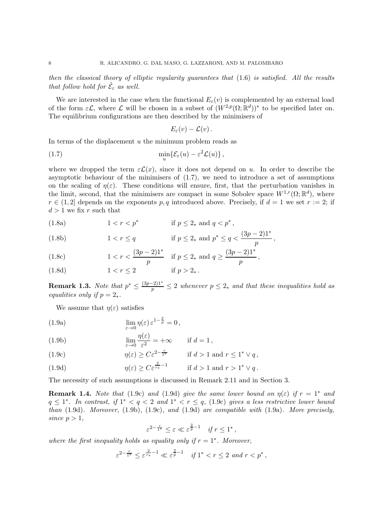then the classical theory of elliptic regularity guarantees that (1.6) is satisfied. All the results that follow hold for  $\hat{\mathcal{E}}_{\varepsilon}$  as well.

We are interested in the case when the functional  $E_{\varepsilon}(v)$  is complemented by an external load of the form  $\varepsilon \mathcal{L}$ , where  $\mathcal L$  will be chosen in a subset of  $(W^{2,p}(\Omega;\mathbb R^d))^*$  to be specified later on. The equilibrium configurations are then described by the minimisers of

$$
E_{\varepsilon}(v)-\mathcal{L}(v)\,.
$$

In terms of the displacement  $u$  the minimum problem reads as

(1.7) 
$$
\min_{u} \{ \mathcal{E}_{\varepsilon}(u) - \varepsilon^2 \mathcal{L}(u) \},
$$

where we dropped the term  $\varepsilon \mathcal{L}(x)$ , since it does not depend on u. In order to describe the asymptotic behaviour of the minimisers of  $(1.7)$ , we need to introduce a set of assumptions on the scaling of  $\eta(\varepsilon)$ . These conditions will ensure, first, that the perturbation vanishes in the limit, second, that the minimisers are compact in some Sobolev space  $W^{1,r}(\Omega;\mathbb{R}^d)$ , where  $r \in (1, 2]$  depends on the exponents p, q introduced above. Precisely, if  $d = 1$  we set  $r := 2$ ; if  $d > 1$  we fix r such that

(1.8a) 
$$
1 < r < p^*
$$
 if  $p \le 2_*$  and  $q < p^*$ ,

(1.8b) 
$$
1 < r \le q
$$
 if  $p \le 2_*$  and  $p^* \le q < \frac{(3p-2)1^*}{p}$ ,

(1.8c) 
$$
1 < r < \frac{(3p-2)1^*}{p} \quad \text{if } p \le 2_* \text{ and } q \ge \frac{(3p-2)1^*}{p},
$$

(1.8d) 
$$
1 < r \le 2
$$
 if  $p > 2_{*}$ .

**Remark 1.3.** Note that  $p^* \leq \frac{(3p-2)1^*}{p} \leq 2$  whenever  $p \leq 2_*$  and that these inequalities hold as equalities only if  $p = 2$ \*.

We assume that  $\eta(\varepsilon)$  satisfies

(1.9a) 
$$
\lim_{\varepsilon \to 0} \eta(\varepsilon) \varepsilon^{1-\frac{2}{p}} = 0,
$$

(1.9b) 
$$
\lim_{\varepsilon \to 0} \frac{\eta(\varepsilon)}{\varepsilon^2} = +\infty \quad \text{if } d = 1,
$$

(1.9c) 
$$
\eta(\varepsilon) \ge C\varepsilon^{2-\frac{r}{1^*}} \quad \text{if } d > 1 \text{ and } r \le 1^* \vee q,
$$

(1.9d) 
$$
\eta(\varepsilon) \ge C\varepsilon^{\frac{2}{r_*}-1} \quad \text{if } d>1 \text{ and } r>1^* \vee q.
$$

The necessity of such assumptions is discussed in Remark 2.11 and in Section 3.

**Remark 1.4.** Note that (1.9c) and (1.9d) give the same lower bound on  $\eta(\varepsilon)$  if  $r = 1^*$  and  $q \leq 1^*$ . In contrast, if  $1^* < q < 2$  and  $1^* < r \leq q$ , (1.9c) gives a less restrictive lower bound than  $(1.9d)$ . Moreover,  $(1.9b)$ ,  $(1.9c)$ , and  $(1.9d)$  are compatible with  $(1.9a)$ . More precisely, since  $p > 1$ ,

$$
\varepsilon^{2-\frac{r}{1^*}} \le \varepsilon \ll \varepsilon^{\frac{2}{p}-1} \quad \text{if } r \le 1^*,
$$

where the first inequality holds as equality only if  $r = 1^*$ . Moreover,

$$
\varepsilon^{2-\frac{r}{1^*}} \le \varepsilon^{\frac{2}{r_*}-1} \ll \varepsilon^{\frac{2}{p}-1} \quad \text{if } 1^* < r \le 2 \text{ and } r < p^*,
$$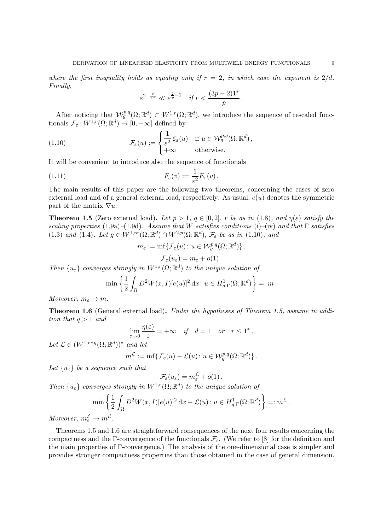where the first inequality holds as equality only if  $r = 2$ , in which case the exponent is  $2/d$ . Finally,

$$
\varepsilon^{2-\frac{r}{1^{*}}} \ll \varepsilon^{\frac{2}{p}-1} \quad \textit{if } r < \frac{(3p-2)1^{*}}{p}\,.
$$

After noticing that  $W_g^{p,q}(\Omega;\mathbb{R}^d) \subset W^{1,r}(\Omega;\mathbb{R}^d)$ , we introduce the sequence of rescaled functionals  $\mathcal{F}_{\varepsilon}$ :  $W^{1,r}(\Omega;\mathbb{R}^d) \to [0,+\infty]$  defined by

(1.10) 
$$
\mathcal{F}_{\varepsilon}(u) := \begin{cases} \frac{1}{\varepsilon^{2}} \mathcal{E}_{\varepsilon}(u) & \text{if } u \in \mathcal{W}_{g}^{p,q}(\Omega; \mathbb{R}^{d}), \\ +\infty & \text{otherwise.} \end{cases}
$$

It will be convenient to introduce also the sequence of functionals

(1.11) 
$$
F_{\varepsilon}(v) := \frac{1}{\varepsilon^2} E_{\varepsilon}(v).
$$

The main results of this paper are the following two theorems, concerning the cases of zero external load and of a general external load, respectively. As usual,  $e(u)$  denotes the symmetric part of the matrix  $\nabla u$ .

**Theorem 1.5** (Zero external load). Let  $p > 1$ ,  $q \in [0, 2]$ , r be as in (1.8), and  $\eta(\varepsilon)$  satisfy the scaling properties (1.9a)–(1.9d). Assume that W satisfies conditions (i)–(iv) and that  $\Gamma$  satisfies (1.3) and (1.4). Let  $g \in W^{1,\infty}(\Omega;\mathbb{R}^d) \cap W^{2,p}(\Omega;\mathbb{R}^d)$ ,  $\mathcal{F}_{\varepsilon}$  be as in (1.10), and

$$
m_{\varepsilon} := \inf \{ \mathcal{F}_{\varepsilon}(u) : u \in \mathcal{W}^{p,q}_g(\Omega; \mathbb{R}^d) \}.
$$

$$
\mathcal{F}_{\varepsilon}(u_{\varepsilon}) = m_{\varepsilon} + o(1).
$$

Then  $\{u_{\varepsilon}\}\$  converges strongly in  $W^{1,r}(\Omega;\mathbb{R}^d)$  to the unique solution of

$$
\min\left\{\frac{1}{2}\int_{\Omega}D^2W(x,I)[e(u)]^2\,\mathrm{d}x\colon u\in H^1_{g,\Gamma}(\Omega;\mathbb{R}^d)\right\}=:m\,.
$$

Moreover,  $m_{\varepsilon} \to m$ .

Theorem 1.6 (General external load). Under the hypotheses of Theorem 1.5, assume in addition that  $q > 1$  and

$$
\lim_{\varepsilon \to 0} \frac{\eta(\varepsilon)}{\varepsilon} = +\infty \quad \text{if} \quad d = 1 \quad \text{or} \quad r \le 1^*.
$$

Let  $\mathcal{L} \in (W^{1,r \wedge q}(\Omega;\mathbb{R}^d))^*$  and let

$$
m_{\varepsilon}^{\mathcal{L}} := \inf \{ \mathcal{F}_{\varepsilon}(u) - \mathcal{L}(u) \colon u \in \mathcal{W}^{p,q}_g(\Omega; \mathbb{R}^d) \}.
$$

Let  $\{u_{\varepsilon}\}\$ be a sequence such that

$$
\mathcal{F}_{\varepsilon}(u_{\varepsilon})=m_{\varepsilon}^{\mathcal{L}}+o(1).
$$

Then  $\{u_{\varepsilon}\}\$  converges strongly in  $W^{1,r}(\Omega;\mathbb{R}^d)$  to the unique solution of

$$
\min\left\{\frac{1}{2}\int_{\Omega}D^2W(x,I)[e(u)]^2 dx - \mathcal{L}(u): u \in H^1_{g,\Gamma}(\Omega;\mathbb{R}^d)\right\} =: m^{\mathcal{L}}.
$$
  

$$
\to m^{\mathcal{L}}
$$

Moreover,  $m_{\varepsilon}^{\mathcal{L}} \to m^{\mathcal{L}}$ .

Theorems 1.5 and 1.6 are straightforward consequences of the next four results concerning the compactness and the Γ-convergence of the functionals  $\mathcal{F}_{\varepsilon}$ . (We refer to [8] for the definition and the main properties of Γ-convergence.) The analysis of the one-dimensional case is simpler and provides stronger compactness properties than those obtained in the case of general dimension.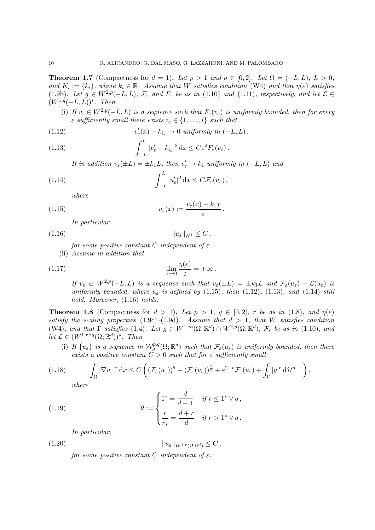**Theorem 1.7** (Compactness for  $d = 1$ ). Let  $p > 1$  and  $q \in [0,2]$ . Let  $\Omega = (-L, L)$ ,  $L > 0$ , and  $K_i := \{k_i\}$ , where  $k_i \in \mathbb{R}$ . Assume that W satisfies condition (W4) and that  $\eta(\varepsilon)$  satisfies (1.9b). Let  $g \in W^{2,p}(-L,L)$ ,  $\mathcal{F}_{\varepsilon}$  and  $F_{\varepsilon}$  be as in (1.10) and (1.11), respectively, and let  $\mathcal{L} \in$  $(W^{1,q}(-L,L))^*$ . Then

(i) If  $v_{\varepsilon} \in W^{2,p}(-L, L)$  is a sequence such that  $F_{\varepsilon}(v_{\varepsilon})$  is uniformly bounded, then for every  $\varepsilon$  sufficiently small there exists  $i_{\varepsilon} \in \{1, \ldots, l\}$  such that

(1.12) 
$$
v'_{\varepsilon}(x) - k_{i_{\varepsilon}} \to 0 \text{ uniformly in } (-L, L),
$$

(1.13) 
$$
\int_{-L}^{L} |v_{\varepsilon}' - k_{i_{\varepsilon}}|^2 dx \leq C \varepsilon^2 F_{\varepsilon}(v_{\varepsilon}).
$$

If in addition  $v_{\varepsilon}(\pm L) = \pm k_1 L$ , then  $v'_{\varepsilon} \to k_1$  uniformly in  $(-L, L)$  and

(1.14) 
$$
\int_{-L}^{L} |u_{\varepsilon}'|^2 dx \leq C \mathcal{F}_{\varepsilon}(u_{\varepsilon}),
$$

where

(1.15) 
$$
u_{\varepsilon}(x) := \frac{v_{\varepsilon}(x) - k_1 x}{\varepsilon}
$$

In particular

(1.16) kuεkH<sup>1</sup> ≤ C ,

for some positive constant C independent of  $\varepsilon$ . (ii) Assume in addition that

(1.17) 
$$
\lim_{\varepsilon \to 0} \frac{\eta(\varepsilon)}{\varepsilon} = +\infty.
$$

If  $v_{\varepsilon} \in W^{2,p}(-L, L)$  is a sequence such that  $v_{\varepsilon}(\pm L) = \pm k_1 L$  and  $\mathcal{F}_{\varepsilon}(u_{\varepsilon}) - \mathcal{L}(u_{\varepsilon})$  is uniformly bounded, where  $u_{\varepsilon}$  is defined by (1.15), then (1.12), (1.13), and (1.14) still hold. Moreover,  $(1.16)$  holds.

.

**Theorem 1.8** (Compactness for  $d > 1$ ). Let  $p > 1$ ,  $q \in [0, 2]$ , r be as in (1.8), and  $\eta(\varepsilon)$ satisfy the scaling properties  $(1.9c)-(1.9d)$ . Assume that  $d > 1$ , that W satisfies condition (W4), and that  $\Gamma$  satisfies (1.4). Let  $g \in W^{1,\infty}(\Omega;\mathbb{R}^d) \cap W^{2,p}(\Omega;\mathbb{R}^d)$ ,  $\mathcal{F}_{\varepsilon}$  be as in (1.10), and let  $\mathcal{L} \in (W^{1,r \wedge q}(\Omega; \mathbb{R}^d))^*$ . Then

(i) If  $\{u_{\varepsilon}\}\$ is a sequence in  $\mathcal{W}^{p,q}_{g}(\Omega;\mathbb{R}^d)$  such that  $\mathcal{F}_{\varepsilon}(u_{\varepsilon})$  is uniformly bounded, then there exists a positive constant  $C > 0$  such that for  $\varepsilon$  sufficiently small

$$
(1.18)\qquad \int_{\Omega} |\nabla u_{\varepsilon}|^r dx \leq C \left( \left( \mathcal{F}_{\varepsilon}(u_{\varepsilon}) \right)^{\theta} + \left( \mathcal{F}_{\varepsilon}(u_{\varepsilon}) \right)^{\frac{r}{2}} + \varepsilon^{2-r} \mathcal{F}_{\varepsilon}(u_{\varepsilon}) + \int_{\Gamma} |g|^r d\mathcal{H}^{d-1} \right),
$$

where

(1.19) 
$$
\theta := \begin{cases} 1^* = \frac{d}{d-1} & \text{if } r \leq 1^* \vee q, \\ \frac{r}{r_*} = \frac{d+r}{d} & \text{if } r > 1^* \vee q. \end{cases}
$$

In particular,

$$
||u_{\varepsilon}||_{W^{1,r}(\Omega;\mathbb{R}^d)} \leq C,
$$

for some positive constant C independent of  $\varepsilon$ .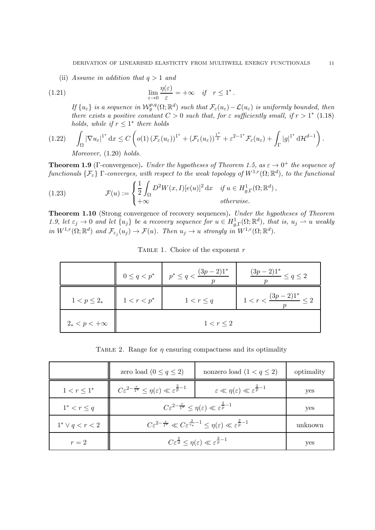(ii) Assume in addition that  $q > 1$  and

(1.21) 
$$
\lim_{\varepsilon \to 0} \frac{\eta(\varepsilon)}{\varepsilon} = +\infty \quad \text{if} \quad r \le 1^*.
$$

If  $\{u_{\varepsilon}\}\$ is a sequence in  $\mathcal{W}^{p,q}_g(\Omega;\mathbb{R}^d)$  such that  $\mathcal{F}_{\varepsilon}(u_{\varepsilon})-\mathcal{L}(u_{\varepsilon})$  is uniformly bounded, then there exists a positive constant  $C > 0$  such that, for  $\varepsilon$  sufficiently small, if  $r > 1^*$  (1.18) holds, while if  $r \leq 1^*$  there holds

$$
(1.22) \quad \int_{\Omega} |\nabla u_{\varepsilon}|^{1^*} dx \leq C \left( o(1) \left( \mathcal{F}_{\varepsilon}(u_{\varepsilon}) \right)^{1^*} + \left( \mathcal{F}_{\varepsilon}(u_{\varepsilon}) \right)^{\frac{1^*}{2}} + \varepsilon^{2-1^*} \mathcal{F}_{\varepsilon}(u_{\varepsilon}) + \int_{\Gamma} |g|^{1^*} d\mathcal{H}^{d-1} \right).
$$
  
Moreover, (1.20) holds

Moreover, (1.20) holds.

**Theorem 1.9** (Γ-convergence). Under the hypotheses of Theorem 1.5, as  $\varepsilon \to 0^+$  the sequence of  $\{f$ unctionals  $\{\mathcal{F}_{\varepsilon}\}$   $\Gamma$ -converges, with respect to the weak topology of  $W^{1,r}(\Omega;\mathbb{R}^d)$ , to the functional

(1.23) 
$$
\mathcal{F}(u) := \begin{cases} \frac{1}{2} \int_{\Omega} D^2 W(x, I) [e(u)]^2 dx & \text{if } u \in H^1_{g, \Gamma}(\Omega; \mathbb{R}^d), \\ +\infty & \text{otherwise.} \end{cases}
$$

Theorem 1.10 (Strong convergence of recovery sequences). Under the hypotheses of Theorem 1.9, let  $\varepsilon_j \to 0$  and let  $\{u_j\}$  be a recovery sequence for  $u \in H^1_{g,\Gamma}(\Omega;\mathbb{R}^d)$ , that is,  $u_j \to u$  weakly in  $W^{1,r}(\Omega;\mathbb{R}^d)$  and  $\mathcal{F}_{\varepsilon_j}(u_j) \to \mathcal{F}(u)$ . Then  $u_j \to u$  strongly in  $W^{1,r}(\Omega;\mathbb{R}^d)$ .

|                     |               | $0 \le q < p^*$ $\Big  p^* \le q < \frac{(3p-2)1^*}{p^*}$ | $\frac{(3p-2)1^*}{2} \leq q \leq 2$  |
|---------------------|---------------|-----------------------------------------------------------|--------------------------------------|
| $1 < p \leq 2_*$    | $1 < r < p^*$ | $1 < r \leq q$                                            | $1 < r < \frac{(3p-2)1^*}{2} \leq 2$ |
| $2_* < p < +\infty$ |               | 1 < r < 2                                                 |                                      |

TABLE 1. Choice of the exponent  $r$ 

TABLE 2. Range for  $\eta$  ensuring compactness and its optimality

|                      | zero load $(0 \le q \le 2)$                                                                                                | nonzero load $(1 < q \leq 2)$                                                       | optimality |
|----------------------|----------------------------------------------------------------------------------------------------------------------------|-------------------------------------------------------------------------------------|------------|
| $1 < r < 1^*$        | $C\varepsilon^{2-\frac{r}{1^*}} \leq \eta(\varepsilon) \ll \varepsilon^{\frac{2}{p}-1}$                                    | $\varepsilon \ll \eta(\varepsilon) \ll \varepsilon^{\frac{2}{p}-1}$                 | yes        |
| $1^* < r \leq q$     | $C\varepsilon^{2-\frac{r}{1^*}} \leq \eta(\varepsilon) \ll \varepsilon^{\frac{2}{p}-1}$                                    | yes                                                                                 |            |
| $1^* \vee q < r < 2$ | $C\varepsilon^{2-\frac{r}{1^*}} \ll C\varepsilon^{\frac{2}{r_*}-1} \leq \eta(\varepsilon) \ll \varepsilon^{\frac{2}{p}-1}$ |                                                                                     | unknown    |
| $r=2$                |                                                                                                                            | $C\varepsilon^{\frac{2}{d}} \leq \eta(\varepsilon) \ll \varepsilon^{\frac{2}{p}-1}$ | yes        |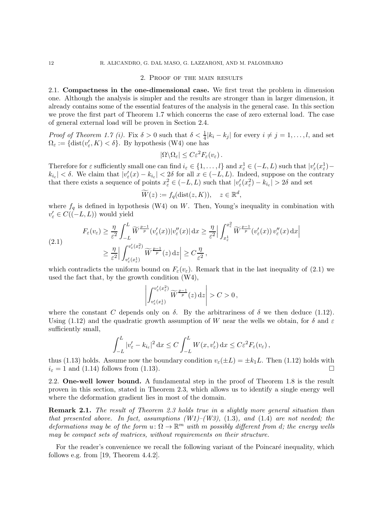#### 2. Proof of the main results

2.1. Compactness in the one-dimensional case. We first treat the problem in dimension one. Although the analysis is simpler and the results are stronger than in larger dimension, it already contains some of the essential features of the analysis in the general case. In this section we prove the first part of Theorem 1.7 which concerns the case of zero external load. The case of general external load will be proven in Section 2.4.

Proof of Theorem 1.7 (i). Fix  $\delta > 0$  such that  $\delta < \frac{1}{4}|k_i - k_j|$  for every  $i \neq j = 1, \ldots, l$ , and set  $\Omega_{\varepsilon} := \{ \text{dist}(v_{\varepsilon}', K) < \delta \}.$  By hypothesis (W4) one has

$$
|\Omega \backslash \Omega_{\varepsilon}| \leq C \varepsilon^2 F_{\varepsilon}(v_{\varepsilon}).
$$

Therefore for  $\varepsilon$  sufficiently small one can find  $i_{\varepsilon} \in \{1, \ldots, l\}$  and  $x_{\varepsilon}^1 \in (-L, L)$  such that  $|v_{\varepsilon}'(x_{\varepsilon}^1) |k_{i_{\varepsilon}}| < \delta$ . We claim that  $|v_{\varepsilon}'(x) - k_{i_{\varepsilon}}| < 2\delta$  for all  $x \in (-L, L)$ . Indeed, suppose on the contrary that there exists a sequence of points  $x_{\varepsilon}^2 \in (-L, L)$  such that  $|v_{\varepsilon}'(x_{\varepsilon}^2) - k_{i_{\varepsilon}}| > 2\delta$  and set

$$
\widetilde{W}(z) := f_q(\text{dist}(z, K)), \quad z \in \mathbb{R}^d,
$$

where  $f_q$  is defined in hypothesis (W4) on W. Then, Young's inequality in combination with  $v'_{\varepsilon} \in C((-L,L))$  would yield

$$
F_{\varepsilon}(v_{\varepsilon}) \geq \frac{\eta}{\varepsilon^{2}} \int_{-L}^{L} \widetilde{W}^{\frac{p-1}{p}}(v_{\varepsilon}'(x)) |v_{\varepsilon}''(x)| dx \geq \frac{\eta}{\varepsilon^{2}} \Big| \int_{x_{\varepsilon}^{1}}^{x_{\varepsilon}^{2}} \widetilde{W}^{\frac{p-1}{p}}(v_{\varepsilon}'(x)) v_{\varepsilon}''(x) dx \Big|
$$
  

$$
\geq \frac{\eta}{\varepsilon^{2}} \Big| \int_{v_{\varepsilon}'(x_{\varepsilon}^{1})}^{v_{\varepsilon}'(x_{\varepsilon}^{2})} \widetilde{W}^{\frac{p-1}{p}}(z) dz \Big| \geq C \frac{\eta}{\varepsilon^{2}},
$$

which contradicts the uniform bound on  $F_{\varepsilon}(v_{\varepsilon})$ . Remark that in the last inequality of (2.1) we used the fact that, by the growth condition (W4),

$$
\left|\int_{v_\varepsilon'(x_\varepsilon^1)}^{v_\varepsilon'(x_\varepsilon^2)} \widetilde{W}^{\frac{p-1}{p}}(z)\,\mathrm{d} z\right|>C>0\,,
$$

where the constant C depends only on  $\delta$ . By the arbitrariness of  $\delta$  we then deduce (1.12). Using (1.12) and the quadratic growth assumption of W near the wells we obtain, for  $\delta$  and  $\varepsilon$ sufficiently small,

$$
\int_{-L}^{L} |v_{\varepsilon}' - k_{i_{\varepsilon}}|^2 dx \le C \int_{-L}^{L} W(x, v_{\varepsilon}') dx \le C \varepsilon^2 F_{\varepsilon}(v_{\varepsilon}),
$$

thus (1.13) holds. Assume now the boundary condition  $v_{\varepsilon}(\pm L) = \pm k_1 L$ . Then (1.12) holds with  $i_{\varepsilon} = 1$  and (1.14) follows from (1.13).  $i_{\varepsilon} = 1$  and (1.14) follows from (1.13).

2.2. One-well lower bound. A fundamental step in the proof of Theorem 1.8 is the result proven in this section, stated in Theorem 2.3, which allows us to identify a single energy well where the deformation gradient lies in most of the domain.

Remark 2.1. The result of Theorem 2.3 holds true in a slightly more general situation than that presented above. In fact, assumptions  $(W1)-(W3)$ , (1.3), and (1.4) are not needed; the deformations may be of the form  $u: \Omega \to \mathbb{R}^m$  with m possibly different from d; the energy wells may be compact sets of matrices, without requirements on their structure.

For the reader's convenience we recall the following variant of the Poincaré inequality, which follows e.g. from [19, Theorem 4.4.2].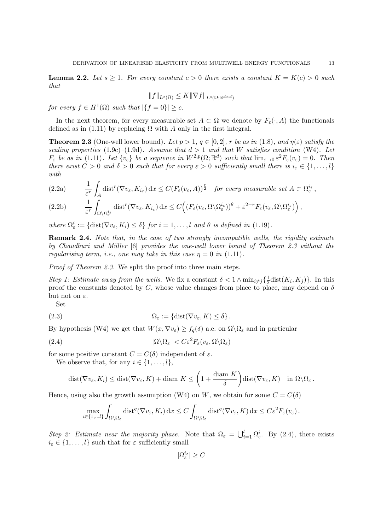**Lemma 2.2.** Let  $s \geq 1$ . For every constant  $c > 0$  there exists a constant  $K = K(c) > 0$  such that

$$
||f||_{L^s(\Omega)} \le K ||\nabla f||_{L^s(\Omega; \mathbb{R}^{d \times d})}
$$

for every  $f \in H^1(\Omega)$  such that  $|\{f=0\}| \geq c$ .

In the next theorem, for every measurable set  $A \subset \Omega$  we denote by  $F_{\varepsilon}(\cdot, A)$  the functionals defined as in (1.11) by replacing  $\Omega$  with A only in the first integral.

**Theorem 2.3** (One-well lower bound). Let  $p > 1$ ,  $q \in [0, 2]$ , r be as in (1.8), and  $\eta(\varepsilon)$  satisfy the scaling properties (1.9c)–(1.9d). Assume that  $d > 1$  and that W satisfies condition (W4). Let  $F_{\varepsilon}$  be as in (1.11). Let  $\{v_{\varepsilon}\}\$ be a sequence in  $W^{2,p}(\Omega;\mathbb{R}^d)$  such that  $\lim_{\varepsilon\to 0} \varepsilon^2 F_{\varepsilon}(v_{\varepsilon}) = 0$ . Then there exist  $C > 0$  and  $\delta > 0$  such that for every  $\varepsilon > 0$  sufficiently small there is  $i_{\varepsilon} \in \{1, \ldots, l\}$ with

$$
(2.2a) \qquad \frac{1}{\varepsilon^r} \int_A \text{dist}^r(\nabla v_\varepsilon, K_{i_\varepsilon}) \, dx \le C (F_\varepsilon(v_\varepsilon, A))^{\frac{r}{2}} \quad \text{for every measurable set } A \subset \Omega_\varepsilon^{i_\varepsilon},
$$

$$
(2.2b) \qquad \frac{1}{\varepsilon^r} \int_{\Omega \setminus \Omega_{\varepsilon}^{i\varepsilon}} \text{dist}^r(\nabla v_{\varepsilon}, K_{i\varepsilon}) \, dx \le C \Big( \big( F_{\varepsilon}(v_{\varepsilon}, \Omega \setminus \Omega_{\varepsilon}^{i\varepsilon}) \big)^{\theta} + \varepsilon^{2-r} F_{\varepsilon}(v_{\varepsilon}, \Omega \setminus \Omega_{\varepsilon}^{i\varepsilon}) \Big) \,,
$$

where  $\Omega_{\varepsilon}^{i} := \{ \text{dist}(\nabla v_{\varepsilon}, K_{i}) \leq \delta \}$  for  $i = 1, ..., l$  and  $\theta$  is defined in (1.19).

**Remark 2.4.** Note that, in the case of two strongly incompatible wells, the rigidity estimate by Chaudhuri and Müller [6] provides the one-well lower bound of Theorem 2.3 without the regularising term, i.e., one may take in this case  $\eta = 0$  in (1.11).

Proof of Theorem 2.3. We split the proof into three main steps.

Step 1: Estimate away from the wells. We fix a constant  $\delta < 1 \wedge \min_{i \neq j} {\frac{1}{2}}$  $\frac{1}{2}$ dist $(K_i, K_j)$ . In this proof the constants denoted by C, whose value changes from place to place, may depend on  $\delta$ but not on  $\varepsilon$ .

Set

(2.3) 
$$
\Omega_{\varepsilon} := \{ \text{dist}(\nabla v_{\varepsilon}, K) \leq \delta \}.
$$

By hypothesis (W4) we get that  $W(x, \nabla v_{\varepsilon}) \geq f_q(\delta)$  a.e. on  $\Omega \setminus \Omega_{\varepsilon}$  and in particular

(2.4) 
$$
|\Omega \backslash \Omega_{\varepsilon}| < C \varepsilon^2 F_{\varepsilon}(v_{\varepsilon}, \Omega \backslash \Omega_{\varepsilon})
$$

for some positive constant  $C = C(\delta)$  independent of  $\varepsilon$ .

We observe that, for any  $i \in \{1, \ldots, l\},\$ 

$$
\text{dist}(\nabla v_{\varepsilon}, K_i) \leq \text{dist}(\nabla v_{\varepsilon}, K) + \text{diam } K \leq \left(1 + \frac{\text{diam } K}{\delta}\right) \text{dist}(\nabla v_{\varepsilon}, K) \quad \text{in } \Omega \setminus \Omega_{\varepsilon}.
$$

Hence, using also the growth assumption (W4) on W, we obtain for some  $C = C(\delta)$ 

$$
\max_{i\in\{1,\ldots l\}} \int_{\Omega\setminus\Omega_{\varepsilon}} \text{dist}^q(\nabla v_{\varepsilon}, K_i) \,dx \leq C \int_{\Omega\setminus\Omega_{\varepsilon}} \text{dist}^q(\nabla v_{\varepsilon}, K) \,dx \leq C \varepsilon^2 F_{\varepsilon}(v_{\varepsilon}).
$$

Step 2: Estimate near the majority phase. Note that  $\Omega_{\varepsilon} = \bigcup_{i=1}^{l} \Omega_{\varepsilon}^{i}$ . By (2.4), there exists  $i_{\varepsilon} \in \{1, \ldots, l\}$  such that for  $\varepsilon$  sufficiently small

 $|\Omega^{i_{\varepsilon}}_{\varepsilon}| \geq C$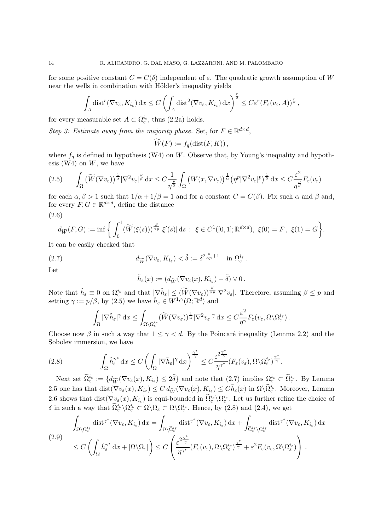for some positive constant  $C = C(\delta)$  independent of  $\varepsilon$ . The quadratic growth assumption of W near the wells in combination with Hölder's inequality yields

$$
\int_A \text{dist}^r(\nabla v_{\varepsilon}, K_{i_{\varepsilon}}) dx \le C \left( \int_A \text{dist}^2(\nabla v_{\varepsilon}, K_{i_{\varepsilon}}) dx \right)^{\frac{r}{2}} \le C \varepsilon^r (F_{\varepsilon}(v_{\varepsilon}, A))^{\frac{r}{2}},
$$

for every measurable set  $A \subset \Omega_{\varepsilon}^{i_{\varepsilon}},$  thus (2.2a) holds.

Step 3: Estimate away from the majority phase. Set, for  $F \in \mathbb{R}^{d \times d}$ ,

$$
\widetilde{W}(F) := f_q(\text{dist}(F,K)),
$$

where  $f_q$  is defined in hypothesis (W4) on W. Observe that, by Young's inequality and hypothesis  $(W4)$  on  $W$ , we have

$$
(2.5) \qquad \int_{\Omega} \left( \widetilde{W}(\nabla v_{\varepsilon}) \right)^{\frac{1}{\alpha}} |\nabla^2 v_{\varepsilon}|^{\frac{p}{\beta}} \, dx \leq C \frac{1}{\eta^{\frac{p}{\beta}}} \int_{\Omega} \left( W(x, \nabla v_{\varepsilon}) \right)^{\frac{1}{\alpha}} \left( \eta^p |\nabla^2 v_{\varepsilon}|^p \right)^{\frac{1}{\beta}} \, dx \leq C \frac{\varepsilon^2}{\eta^{\frac{p}{\beta}}} F_{\varepsilon}(v_{\varepsilon})
$$

for each  $\alpha, \beta > 1$  such that  $1/\alpha + 1/\beta = 1$  and for a constant  $C = C(\beta)$ . Fix such  $\alpha$  and  $\beta$  and, for every  $F, G \in \mathbb{R}^{d \times d}$ , define the distance (2.6)

$$
d_{\widetilde{W}}(F,G) := \inf \left\{ \int_0^1 (\widetilde{W}(\xi(s)))^{\frac{\beta}{\alpha p}} |\xi'(s)| \, ds \; : \; \xi \in C^1([0,1]; \mathbb{R}^{d \times d}), \; \xi(0) = F, \; \xi(1) = G \right\}.
$$

It can be easily checked that

(2.7) 
$$
d_{\widetilde{W}}(\nabla v_{\varepsilon}, K_{i_{\varepsilon}}) < \widetilde{\delta} := \delta^{2\frac{\beta}{\alpha p}+1} \quad \text{in } \Omega_{\varepsilon}^{i_{\varepsilon}}.
$$

Let

$$
\tilde{h}_{\varepsilon}(x):=(d_{\widetilde{W}}(\nabla v_{\varepsilon}(x),K_{i_{\varepsilon}})-\tilde{\delta})\vee 0.
$$

Note that  $\tilde{h}_{\varepsilon} \equiv 0$  on  $\Omega_{\varepsilon}^{i_{\varepsilon}}$  and that  $|\nabla \tilde{h}_{\varepsilon}| \leq (\widetilde{W}(\nabla v_{\varepsilon}))^{\frac{\beta}{\alpha p}} |\nabla^2 v_{\varepsilon}|$ . Therefore, assuming  $\beta \leq p$  and setting  $\gamma := p/\beta$ , by (2.5) we have  $\tilde{h}_{\varepsilon} \in W^{1,\gamma}(\Omega;\mathbb{R}^d)$  and

$$
\int_{\Omega} |\nabla \tilde{h}_{\varepsilon}|^{\gamma} dx \leq \int_{\Omega \setminus \Omega_{\varepsilon}^{i_{\varepsilon}}} (\widetilde{W}(\nabla v_{\varepsilon}))^{\frac{1}{\alpha}} |\nabla^2 v_{\varepsilon}|^{\gamma} dx \leq C \frac{\varepsilon^2}{\eta^{\gamma}} F_{\varepsilon}(v_{\varepsilon}, \Omega \setminus \Omega_{\varepsilon}^{i_{\varepsilon}}).
$$

Choose now  $\beta$  in such a way that  $1 \leq \gamma < d$ . By the Poincaré inequality (Lemma 2.2) and the Sobolev immersion, we have

(2.8) 
$$
\int_{\Omega} \tilde{h}_{\varepsilon}^{\gamma^*} dx \leq C \left( \int_{\Omega} |\nabla \tilde{h}_{\varepsilon}|^{\gamma} dx \right)^{\frac{\gamma^*}{\gamma}} \leq C \frac{\varepsilon^{2\frac{\gamma^*}{\gamma}}}{\eta^{\gamma^*}} (F_{\varepsilon}(v_{\varepsilon}), \Omega \setminus \Omega_{\varepsilon}^{i_{\varepsilon}})^{\frac{\gamma^*}{\gamma}}.
$$

Next set  $\widetilde{\Omega}_{\varepsilon}^{i_{\varepsilon}} := \{ d_{\widetilde{W}}(\nabla v_{\varepsilon}(x), K_{i_{\varepsilon}}) \leq 2\tilde{\delta} \}$  and note that  $(2.7)$  implies  $\Omega_{\varepsilon}^{i_{\varepsilon}} \subset \widetilde{\Omega}_{\varepsilon}^{i_{\varepsilon}}$ . By Lemma 2.5 one has that  $dist(\nabla v_{\varepsilon}(x), K_{i_{\varepsilon}}) \leq C d_{\widetilde{W}}(\nabla v_{\varepsilon}(x), K_{i_{\varepsilon}}) \leq C \tilde{h}_{\varepsilon}(x)$  in  $\Omega \setminus \widetilde{\Omega}_{\varepsilon}^{i_{\varepsilon}}$ . Moreover, Lemma 2.6 shows that  $dist(\nabla v_{\varepsilon}(x), K_{i_{\varepsilon}})$  is equi-bounded in  $\Omega_{\varepsilon}^{i_{\varepsilon}} \setminus \Omega_{\varepsilon}^{i_{\varepsilon}}$ . Let us further refine the choice of δ in such a way that  $\tilde{\Omega}^{i_{\varepsilon}}_{\varepsilon} \setminus \Omega^{i_{\varepsilon}}_{\varepsilon} \subset \Omega \setminus \Omega_{\varepsilon} \subset \Omega \setminus \Omega^{i_{\varepsilon}}_{\varepsilon}$ . Hence, by (2.8) and (2.4), we get

$$
\int_{\Omega\setminus\Omega_{\varepsilon}^{i_{\varepsilon}}} \text{dist}^{\gamma^*}(\nabla v_{\varepsilon}, K_{i_{\varepsilon}}) \, dx = \int_{\Omega\setminus\widetilde{\Omega}_{\varepsilon}^{i_{\varepsilon}}} \text{dist}^{\gamma^*}(\nabla v_{\varepsilon}, K_{i_{\varepsilon}}) \, dx + \int_{\widetilde{\Omega}_{\varepsilon}^{i_{\varepsilon}}\setminus\Omega_{\varepsilon}^{i_{\varepsilon}}} \text{dist}^{\gamma^*}(\nabla v_{\varepsilon}, K_{i_{\varepsilon}}) \, dx
$$
\n
$$
\leq C \left( \int_{\Omega} \tilde{h}_{\varepsilon}^{\gamma^*} \, dx + |\Omega \setminus \Omega_{\varepsilon}| \right) \leq C \left( \frac{\varepsilon^{2\frac{\gamma^*}{\gamma}}}{\eta^{\gamma^*}} (F_{\varepsilon}(v_{\varepsilon}), \Omega \setminus \Omega_{\varepsilon}^{i_{\varepsilon}}) \frac{\gamma^*}{\gamma} + \varepsilon^2 F_{\varepsilon}(v_{\varepsilon}, \Omega \setminus \Omega_{\varepsilon}^{i_{\varepsilon}}) \right).
$$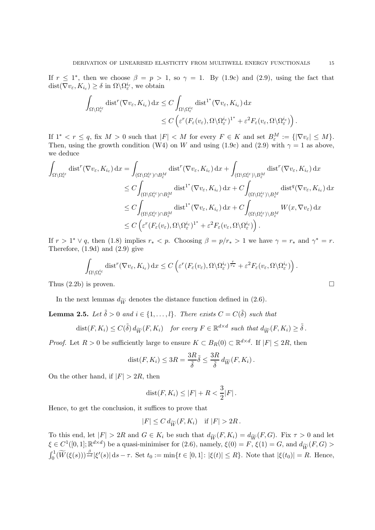If  $r \leq 1^*$ , then we choose  $\beta = p > 1$ , so  $\gamma = 1$ . By (1.9c) and (2.9), using the fact that  $dist(\nabla v_{\varepsilon}, K_{i_{\varepsilon}}) \geq \delta \text{ in } \Omega \backslash \Omega_{\varepsilon}^{i_{\varepsilon}}, \text{ we obtain}$ 

$$
\int_{\Omega \setminus \Omega_{\varepsilon}^{i_{\varepsilon}}} \text{dist}^r(\nabla v_{\varepsilon}, K_{i_{\varepsilon}}) \, dx \le C \int_{\Omega \setminus \Omega_{\varepsilon}^{i_{\varepsilon}}} \text{dist}^{1^*}(\nabla v_{\varepsilon}, K_{i_{\varepsilon}}) \, dx \le C \left( \varepsilon^r (F_{\varepsilon}(v_{\varepsilon}), \Omega \setminus \Omega_{\varepsilon}^{i_{\varepsilon}})^{1^*} + \varepsilon^2 F_{\varepsilon}(v_{\varepsilon}, \Omega \setminus \Omega_{\varepsilon}^{i_{\varepsilon}}) \right).
$$

If  $1^* < r \leq q$ , fix  $M > 0$  such that  $|F| < M$  for every  $F \in K$  and set  $B_{\varepsilon}^M := \{ |\nabla v_{\varepsilon}| \leq M \}.$ Then, using the growth condition (W4) on W and using (1.9c) and (2.9) with  $\gamma = 1$  as above, we deduce

$$
\int_{\Omega\setminus\Omega_{\varepsilon}^{i_{\varepsilon}}}\text{dist}^{r}(\nabla v_{\varepsilon}, K_{i_{\varepsilon}}) \,dx = \int_{(\Omega\setminus\Omega_{\varepsilon}^{i_{\varepsilon}})\cap B_{\varepsilon}^{M}} \text{dist}^{r}(\nabla v_{\varepsilon}, K_{i_{\varepsilon}}) \,dx + \int_{(\Omega\setminus\Omega_{\varepsilon}^{i_{\varepsilon}})\setminus B_{\varepsilon}^{M}} \text{dist}^{r}(\nabla v_{\varepsilon}, K_{i_{\varepsilon}}) \,dx
$$
\n
$$
\leq C \int_{(\Omega\setminus\Omega_{\varepsilon}^{i_{\varepsilon}})\cap B_{\varepsilon}^{M}} \text{dist}^{1^{*}}(\nabla v_{\varepsilon}, K_{i_{\varepsilon}}) \,dx + C \int_{(\Omega\setminus\Omega_{\varepsilon}^{i_{\varepsilon}})\setminus B_{\varepsilon}^{M}} \text{dist}^{q}(\nabla v_{\varepsilon}, K_{i_{\varepsilon}}) \,dx
$$
\n
$$
\leq C \int_{(\Omega\setminus\Omega_{\varepsilon}^{i_{\varepsilon}})\cap B_{\varepsilon}^{M}} \text{dist}^{1^{*}}(\nabla v_{\varepsilon}, K_{i_{\varepsilon}}) \,dx + C \int_{(\Omega\setminus\Omega_{\varepsilon}^{i_{\varepsilon}})\setminus B_{\varepsilon}^{M}} W(x, \nabla v_{\varepsilon}) \,dx
$$
\n
$$
\leq C \left( \varepsilon^{r} (F_{\varepsilon}(v_{\varepsilon}), \Omega\setminus\Omega_{\varepsilon}^{i_{\varepsilon}})^{1^{*}} + \varepsilon^{2} F_{\varepsilon}(v_{\varepsilon}, \Omega\setminus\Omega_{\varepsilon}^{i_{\varepsilon}}) \right).
$$

If  $r > 1^* \vee q$ , then (1.8) implies  $r_* < p$ . Choosing  $\beta = p/r_* > 1$  we have  $\gamma = r_*$  and  $\gamma^* = r$ . Therefore, (1.9d) and (2.9) give

$$
\int_{\Omega\setminus\Omega^{i_{\varepsilon}}_{\varepsilon}} \text{dist}^{r}(\nabla v_{\varepsilon}, K_{i_{\varepsilon}}) dx \leq C \left( \varepsilon^{r} (F_{\varepsilon}(v_{\varepsilon}), \Omega\setminus\Omega^{i_{\varepsilon}}_{\varepsilon})^{\frac{r}{r_{*}}} + \varepsilon^{2} F_{\varepsilon}(v_{\varepsilon}, \Omega\setminus\Omega^{i_{\varepsilon}}_{\varepsilon}) \right).
$$

Thus  $(2.2b)$  is proven.

In the next lemmas  $d_{\widetilde{W}}$  denotes the distance function defined in (2.6).

**Lemma 2.5.** Let  $\tilde{\delta} > 0$  and  $i \in \{1, ..., l\}$ . There exists  $C = C(\tilde{\delta})$  such that

$$
\text{dist}(F, K_i) \le C(\tilde{\delta}) d_{\widetilde{W}}(F, K_i) \quad \text{for every } F \in \mathbb{R}^{d \times d} \text{ such that } d_{\widetilde{W}}(F, K_i) \ge \tilde{\delta}.
$$

*Proof.* Let  $R > 0$  be sufficiently large to ensure  $K \subset B_R(0) \subset \mathbb{R}^{d \times d}$ . If  $|F| \leq 2R$ , then

$$
dist(F, K_i) \leq 3R = \frac{3R}{\tilde{\delta}} \tilde{\delta} \leq \frac{3R}{\tilde{\delta}} d_{\widetilde{W}}(F, K_i).
$$

On the other hand, if  $|F| > 2R$ , then

$$
dist(F, K_i) \leq |F| + R < \frac{3}{2}|F|.
$$

Hence, to get the conclusion, it suffices to prove that

$$
|F| \leq C d_{\widetilde{W}}(F, K_i) \quad \text{if } |F| > 2R \, .
$$

To this end, let  $|F| > 2R$  and  $G \in K_i$  be such that  $d_{\widetilde{W}}(F, K_i) = d_{\widetilde{W}}(F, G)$ . Fix  $\tau > 0$  and let  $\xi \in C^1([0,1]; \mathbb{R}^{d \times d})$  be a quasi-minimiser for  $(2.6)$ , namely,  $\xi(0) = F$ ,  $\xi(1) = G$ , and  $d_{\widetilde{W}}(F, G) >$  $\int_0^1 (\widetilde{W}(\xi(s)))^{\frac{\beta}{\alpha d}} |\xi'(s)| ds - \tau$ . Set  $t_0 := \min\{t \in [0,1]: |\xi(t)| \leq R\}$ . Note that  $|\xi(t_0)| = R$ . Hence,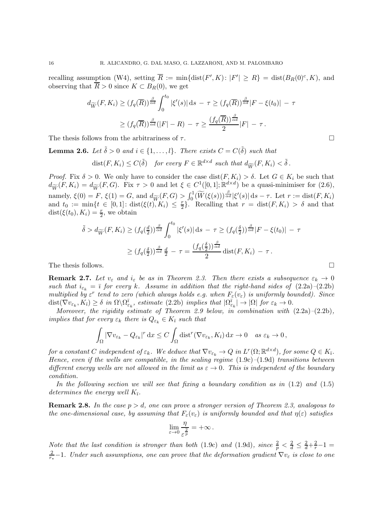recalling assumption (W4), setting  $\overline{R} := \min\{\text{dist}(F', K) : |F'| \ge R\} = \text{dist}(B_R(0)^c, K)$ , and observing that  $\overline{R} > 0$  since  $K \subset B_R(0)$ , we get

$$
d_{\widetilde{W}}(F, K_i) \ge (f_q(\overline{R}))^{\frac{\beta}{\alpha d}} \int_0^{t_0} |\xi'(s)| ds - \tau \ge (f_q(\overline{R}))^{\frac{\beta}{\alpha d}} |F - \xi(t_0)| - \tau
$$
  

$$
\ge (f_q(\overline{R}))^{\frac{\beta}{\alpha d}} (|F| - R) - \tau \ge \frac{(f_q(\overline{R}))^{\frac{\beta}{\alpha d}}}{2} |F| - \tau.
$$

The thesis follows from the arbitrariness of  $\tau$ .

**Lemma 2.6.** Let  $\tilde{\delta} > 0$  and  $i \in \{1, ..., l\}$ . There exists  $C = C(\tilde{\delta})$  such that

$$
\text{dist}(F, K_i) \le C(\tilde{\delta}) \quad \text{for every } F \in \mathbb{R}^{d \times d} \text{ such that } d_{\widetilde{W}}(F, K_i) < \tilde{\delta} \, .
$$

*Proof.* Fix  $\delta > 0$ . We only have to consider the case  $dist(F, K_i) > \delta$ . Let  $G \in K_i$  be such that  $d_{\widetilde{W}}(F,K_i) = d_{\widetilde{W}}(F,G)$ . Fix  $\tau > 0$  and let  $\xi \in C^1([0,1];\mathbb{R}^{d \times d})$  be a quasi-minimiser for  $(2.6)$ , namely,  $\xi(0) = F$ ,  $\xi(1) = G$ , and  $d_{\widetilde{W}}(F, G) > \int_0^1 (\widetilde{W}(\xi(s)))^{\frac{\beta}{\alpha d}} |\xi'(s)| ds - \tau$ . Let  $r := \text{dist}(F, K_i)$ and  $t_0 := \min\{t \in [0,1]: \text{dist}(\xi(t)), K_i\} \leq \frac{r}{2}$  $\frac{r}{2}$ . Recalling that  $r = \text{dist}(F, K_i) > \delta$  and that  $dist(\xi(t_0), K_i) = \frac{r}{2}$ , we obtain

$$
\tilde{\delta} > d_{\widetilde{W}}(F, K_i) \ge (f_q(\frac{d}{2}))^{\frac{\beta}{\alpha d}} \int_0^{t_0} |\xi'(s)| ds - \tau \ge (f_q(\frac{\delta}{2}))^{\frac{\beta}{\alpha d}} |F - \xi(t_0)| - \tau
$$
  

$$
\ge (f_q(\frac{\delta}{2}))^{\frac{\beta}{\alpha d}} \frac{d}{2} - \tau = \frac{(f_q(\frac{\delta}{2}))^{\frac{\beta}{\alpha d}}}{2} \text{dist}(F, K_i) - \tau.
$$
  
The thesis follows.

**Remark 2.7.** Let  $v_{\varepsilon}$  and  $i_{\varepsilon}$  be as in Theorem 2.3. Then there exists a subsequence  $\varepsilon_k \to 0$ such that  $i_{\varepsilon_k} = \overline{\imath}$  for every k. Assume in addition that the right-hand sides of  $(2.2a)-(2.2b)$ multiplied by  $\varepsilon^r$  tend to zero (which always holds e.g. when  $F_{\varepsilon}(v_{\varepsilon})$  is uniformly bounded). Since  $dist(\nabla v_{\varepsilon_k}, K_{\overline{i}}) \geq \delta \text{ in } \Omega \backslash \Omega_{\varepsilon_k}^{\overline{i}}, \text{ estimate (2.2b) implies that } |\Omega_{\varepsilon_k}^{\overline{i}}| \to |\Omega| \text{ for } \varepsilon_k \to 0.$ 

Moreover, the rigidity estimate of Theorem 2.9 below, in combination with  $(2.2a)-(2.2b)$ , implies that for every  $\varepsilon_k$  there is  $Q_{\varepsilon_k} \in K_{\bar{\imath}}$  such that

$$
\int_{\Omega} |\nabla v_{\varepsilon_k} - Q_{\varepsilon_k}|^r dx \le C \int_{\Omega} \text{dist}^r(\nabla v_{\varepsilon_k}, K_{\bar{\imath}}) dx \to 0 \quad \text{as } \varepsilon_k \to 0,
$$

for a constant C independent of  $\varepsilon_k$ . We deduce that  $\nabla v_{\varepsilon_k} \to Q$  in  $L^r(\Omega;\mathbb{R}^{d \times d})$ , for some  $Q \in K_{\bar{\imath}}$ . Hence, even if the wells are compatible, in the scaling regime  $(1.9c)$ – $(1.9d)$  transitions between different energy wells are not allowed in the limit as  $\varepsilon \to 0$ . This is independent of the boundary condition.

In the following section we will see that fixing a boundary condition as in  $(1.2)$  and  $(1.5)$ determines the energy well  $K_{\bar{i}}$ .

**Remark 2.8.** In the case  $p > d$ , one can prove a stronger version of Theorem 2.3, analogous to the one-dimensional case, by assuming that  $F_{\varepsilon}(v_{\varepsilon})$  is uniformly bounded and that  $\eta(\varepsilon)$  satisfies

$$
\lim_{\varepsilon \to 0} \frac{\eta}{\varepsilon^{\frac{2}{p}}} = +\infty \, .
$$

Note that the last condition is stronger than both (1.9c) and (1.9d), since  $\frac{2}{p} < \frac{2}{d} \leq \frac{2}{d} + \frac{2}{r} - 1 =$ 2  $\frac{2}{r_*}-1$ . Under such assumptions, one can prove that the deformation gradient  $\nabla v_{\varepsilon}$  is close to one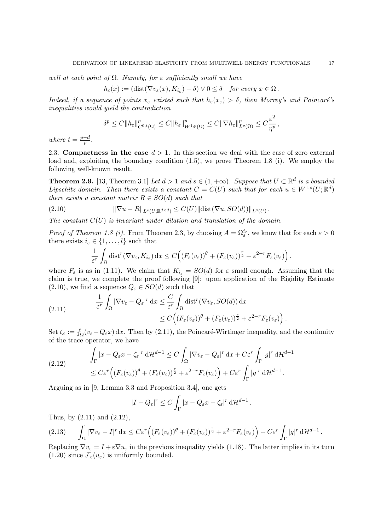well at each point of  $\Omega$ . Namely, for  $\varepsilon$  sufficiently small we have

$$
h_{\varepsilon}(x) := (\text{dist}(\nabla v_{\varepsilon}(x), K_{i_{\varepsilon}}) - \delta) \vee 0 \leq \delta \quad \text{for every } x \in \Omega.
$$

Indeed, if a sequence of points  $x_{\varepsilon}$  existed such that  $h_{\varepsilon}(x_{\varepsilon}) > \delta$ , then Morrey's and Poincaré's inequalities would yield the contradiction

$$
\delta^p \leq C \|h_{\varepsilon}\|_{C^{0,t}(\Omega)}^p \leq C \|h_{\varepsilon}\|_{W^{1,p}(\Omega)}^p \leq C \|\nabla h_{\varepsilon}\|_{L^p(\Omega)}^p \leq C \frac{\varepsilon^2}{\eta^p},
$$

where  $t = \frac{p-d}{p}$ .

2.3. Compactness in the case  $d > 1$ . In this section we deal with the case of zero external load and, exploiting the boundary condition (1.5), we prove Theorem 1.8 (i). We employ the following well-known result.

**Theorem 2.9.** [13, Theorem 3.1] Let  $d > 1$  and  $s \in (1, +\infty)$ . Suppose that  $U \subset \mathbb{R}^d$  is a bounded Lipschitz domain. Then there exists a constant  $C = C(U)$  such that for each  $u \in W^{1,s}(U;\mathbb{R}^d)$ there exists a constant matrix  $R \in SO(d)$  such that

(2.10) 
$$
\|\nabla u - R\|_{L^s(U;\mathbb{R}^{d\times d})} \leq C(U) \|\text{dist}(\nabla u, SO(d))\|_{L^s(U)}.
$$

The constant  $C(U)$  is invariant under dilation and translation of the domain.

*Proof of Theorem 1.8 (i).* From Theorem 2.3, by choosing  $A = \Omega_{\varepsilon}^{i_{\varepsilon}}$ , we know that for each  $\varepsilon > 0$ there exists  $i_{\varepsilon} \in \{1, \ldots, l\}$  such that

$$
\frac{1}{\varepsilon^r} \int_{\Omega} \text{dist}^r(\nabla v_{\varepsilon}, K_{i_{\varepsilon}}) dx \leq C \Big( (F_{\varepsilon}(v_{\varepsilon}))^{\theta} + (F_{\varepsilon}(v_{\varepsilon}))^{\frac{r}{2}} + \varepsilon^{2-r} F_{\varepsilon}(v_{\varepsilon}) \Big),
$$

where  $F_{\varepsilon}$  is as in (1.11). We claim that  $K_{i_{\varepsilon}} = SO(d)$  for  $\varepsilon$  small enough. Assuming that the claim is true, we complete the proof following [9]: upon application of the Rigidity Estimate  $(2.10)$ , we find a sequence  $Q_{\varepsilon} \in SO(d)$  such that

(2.11) 
$$
\frac{1}{\varepsilon^r} \int_{\Omega} |\nabla v_{\varepsilon} - Q_{\varepsilon}|^r dx \leq \frac{C}{\varepsilon^r} \int_{\Omega} \text{dist}^r (\nabla v_{\varepsilon}, SO(d)) dx \leq C \Big( (F_{\varepsilon}(v_{\varepsilon}))^{\theta} + (F_{\varepsilon}(v_{\varepsilon}))^{\frac{r}{2}} + \varepsilon^{2-r} F_{\varepsilon}(v_{\varepsilon}) \Big).
$$

Set  $\zeta_{\varepsilon} := \int_{\Omega} (v_{\varepsilon} - Q_{\varepsilon} x) dx$ . Then by (2.11), the Poincaré-Wirtinger inequality, and the continuity of the trace operator, we have

(2.12) 
$$
\int_{\Gamma} |x - Q_{\varepsilon}x - \zeta_{\varepsilon}|^r d\mathcal{H}^{d-1} \leq C \int_{\Omega} |\nabla v_{\varepsilon} - Q_{\varepsilon}|^r dx + C \varepsilon^r \int_{\Gamma} |g|^r d\mathcal{H}^{d-1} \leq C \varepsilon^r \Big( (F_{\varepsilon}(v_{\varepsilon}))^{\theta} + (F_{\varepsilon}(v_{\varepsilon}))^{\frac{r}{2}} + \varepsilon^{2-r} F_{\varepsilon}(v_{\varepsilon}) \Big) + C \varepsilon^r \int_{\Gamma} |g|^r d\mathcal{H}^{d-1}.
$$

Arguing as in [9, Lemma 3.3 and Proposition 3.4], one gets

$$
|I - Q_{\varepsilon}|^{r} \leq C \int_{\Gamma} |x - Q_{\varepsilon}x - \zeta_{\varepsilon}|^{r} d\mathcal{H}^{d-1}.
$$

Thus, by (2.11) and (2.12),

$$
(2.13) \qquad \int_{\Omega} |\nabla v_{\varepsilon} - I|^r \, \mathrm{d}x \leq C \varepsilon^r \Big( (F_{\varepsilon}(v_{\varepsilon}))^{\theta} + (F_{\varepsilon}(v_{\varepsilon}))^{\frac{r}{2}} + \varepsilon^{2-r} F_{\varepsilon}(v_{\varepsilon}) \Big) + C \varepsilon^r \int_{\Gamma} |g|^r \, \mathrm{d}H^{d-1} \, .
$$

Replacing  $\nabla v_{\varepsilon} = I + \varepsilon \nabla u_{\varepsilon}$  in the previous inequality yields (1.18). The latter implies in its turn (1.20) since  $\mathcal{F}_{\varepsilon}(u_{\varepsilon})$  is uniformly bounded.

 $\Omega$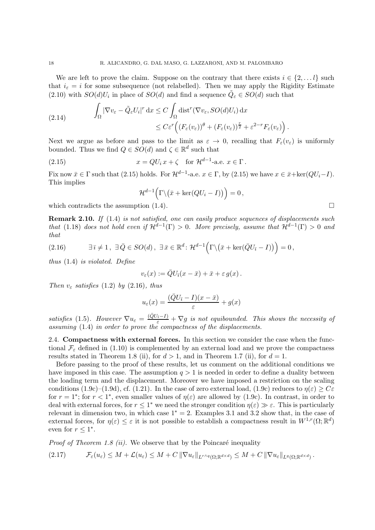We are left to prove the claim. Suppose on the contrary that there exists  $i \in \{2, \ldots l\}$  such that  $i_{\varepsilon} = i$  for some subsequence (not relabelled). Then we may apply the Rigidity Estimate (2.10) with  $SO(d)U_i$  in place of  $SO(d)$  and find a sequence  $\tilde{Q}_{\varepsilon} \in SO(d)$  such that

(2.14) 
$$
\int_{\Omega} |\nabla v_{\varepsilon} - \tilde{Q}_{\varepsilon} U_i|^r dx \leq C \int_{\Omega} \text{dist}^r (\nabla v_{\varepsilon}, SO(d) U_i) dx \leq C \varepsilon^r \left( (F_{\varepsilon}(v_{\varepsilon}))^{\theta} + (F_{\varepsilon}(v_{\varepsilon}))^{\frac{r}{2}} + \varepsilon^{2-r} F_{\varepsilon}(v_{\varepsilon}) \right).
$$

Next we argue as before and pass to the limit as  $\varepsilon \to 0$ , recalling that  $F_{\varepsilon}(v_{\varepsilon})$  is uniformly bounded. Thus we find  $Q \in SO(d)$  and  $\zeta \in \mathbb{R}^d$  such that

(2.15) 
$$
x = QU_i x + \zeta \quad \text{for } \mathcal{H}^{d-1}\text{-a.e. } x \in \Gamma.
$$

Fix now  $\bar{x} \in \Gamma$  such that (2.15) holds. For  $\mathcal{H}^{d-1}$ -a.e.  $x \in \Gamma$ , by (2.15) we have  $x \in \bar{x} + \ker(QU_i - I)$ . This implies

$$
\mathcal{H}^{d-1}\Big(\Gamma\backslash(\bar{x}+\ker (QU_i-I)\big)\Big)=0\,,
$$

which contradicts the assumption  $(1.4)$ .

Remark 2.10. If (1.4) is not satisfied, one can easily produce sequences of displacements such that (1.18) does not hold even if  $\mathcal{H}^{d-1}(\Gamma) > 0$ . More precisely, assume that  $\mathcal{H}^{d-1}(\Gamma) > 0$  and that

(2.16) 
$$
\exists \bar{\imath} \neq 1, \ \exists \bar{Q} \in SO(d), \ \exists \bar{x} \in \mathbb{R}^d : \mathcal{H}^{d-1}(\Gamma \backslash (\bar{x} + \ker(\bar{Q}U_{\bar{\imath}} - I)) \big) = 0,
$$

thus (1.4) is violated. Define

$$
v_{\varepsilon}(x) := \overline{Q}U_{\overline{\imath}}(x-\overline{x}) + \overline{x} + \varepsilon g(x).
$$

Then  $v_{\varepsilon}$  satisfies (1.2) by (2.16), thus

$$
u_{\varepsilon}(x) = \frac{(\bar{Q}U_{\bar{\imath}} - I)(x - \bar{x})}{\varepsilon} + g(x)
$$

satisfies (1.5). However  $\nabla u_{\varepsilon} = \frac{(\bar{Q}U_{\bar{i}}-I)}{\varepsilon} + \nabla g$  is not equibounded. This shows the necessity of assuming (1.4) in order to prove the compactness of the displacements.

2.4. Compactness with external forces. In this section we consider the case when the functional  $\mathcal{F}_{\epsilon}$  defined in (1.10) is complemented by an external load and we prove the compactness results stated in Theorem 1.8 (ii), for  $d > 1$ , and in Theorem 1.7 (ii), for  $d = 1$ .

Before passing to the proof of these results, let us comment on the additional conditions we have imposed in this case. The assumption  $q > 1$  is needed in order to define a duality between the loading term and the displacement. Moreover we have imposed a restriction on the scaling conditions (1.9c)–(1.9d), cf. (1.21). In the case of zero external load, (1.9c) reduces to  $\eta(\varepsilon) \geq C\varepsilon$ for  $r = 1^*$ ; for  $r < 1^*$ , even smaller values of  $\eta(\varepsilon)$  are allowed by (1.9c). In contrast, in order to deal with external forces, for  $r \leq 1^*$  we need the stronger condition  $\eta(\varepsilon) \gg \varepsilon$ . This is particularly relevant in dimension two, in which case  $1<sup>*</sup> = 2$ . Examples 3.1 and 3.2 show that, in the case of external forces, for  $\eta(\varepsilon) \leq \varepsilon$  it is not possible to establish a compactness result in  $W^{1,r}(\Omega;\mathbb{R}^d)$ even for  $r \leq 1^*$ .

*Proof of Theorem 1.8 (ii).* We observe that by the Poincaré inequality

$$
(2.17) \t\t\t\t\mathcal{F}_{\varepsilon}(u_{\varepsilon}) \leq M + \mathcal{L}(u_{\varepsilon}) \leq M + C \|\nabla u_{\varepsilon}\|_{L^{r \wedge q}(\Omega; \mathbb{R}^{d \times d})} \leq M + C \|\nabla u_{\varepsilon}\|_{L^{q}(\Omega; \mathbb{R}^{d \times d})}.
$$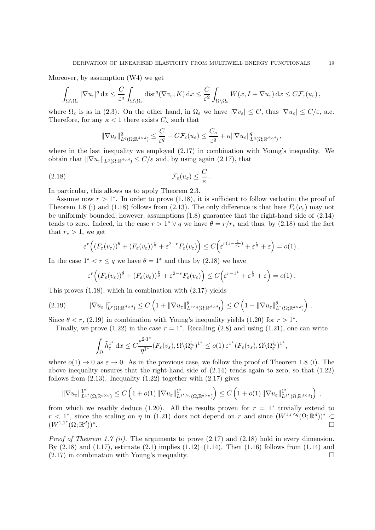Moreover, by assumption (W4) we get

$$
\int_{\Omega\setminus\Omega_{\varepsilon}}|\nabla u_{\varepsilon}|^q dx \leq \frac{C}{\varepsilon^q} \int_{\Omega\setminus\Omega_{\varepsilon}} \text{dist}^q(\nabla v_{\varepsilon}, K) dx \leq \frac{C}{\varepsilon^2} \int_{\Omega\setminus\Omega_{\varepsilon}} W(x, I + \nabla u_{\varepsilon}) dx \leq C \mathcal{F}_{\varepsilon}(u_{\varepsilon}),
$$

where  $\Omega_{\varepsilon}$  is as in (2.3). On the other hand, in  $\Omega_{\varepsilon}$  we have  $|\nabla v_{\varepsilon}| \leq C$ , thus  $|\nabla u_{\varepsilon}| \leq C/\varepsilon$ , a.e. Therefore, for any  $\kappa < 1$  there exists  $C_{\kappa}$  such that

$$
\|\nabla u_{\varepsilon}\|_{L^q(\Omega;\mathbb{R}^{d\times d})}^q \leq \frac{C}{\varepsilon^q} + C\mathcal{F}_{\varepsilon}(u_{\varepsilon}) \leq \frac{C_{\kappa}}{\varepsilon^q} + \kappa \|\nabla u_{\varepsilon}\|_{L^q(\Omega;\mathbb{R}^{d\times d})}^q,
$$

where in the last inequality we employed (2.17) in combination with Young's inequality. We obtain that  $\|\nabla u_{\varepsilon}\|_{L^q(\Omega;\mathbb{R}^{d\times d})} \leq C/\varepsilon$  and, by using again (2.17), that

$$
\mathcal{F}_{\varepsilon}(u_{\varepsilon}) \leq \frac{C}{\varepsilon}.
$$

In particular, this allows us to apply Theorem 2.3.

Assume now  $r > 1^*$ . In order to prove (1.18), it is sufficient to follow verbatim the proof of Theorem 1.8 (i) and (1.18) follows from (2.13). The only difference is that here  $F_{\varepsilon}(v_{\varepsilon})$  may not be uniformly bounded; however, assumptions (1.8) guarantee that the right-hand side of (2.14) tends to zero. Indeed, in the case  $r > 1^* \vee q$  we have  $\theta = r/r_*$  and thus, by (2.18) and the fact that  $r_* > 1$ , we get

$$
\varepsilon^{r}\Big((F_{\varepsilon}(v_{\varepsilon}))^{\theta}+(F_{\varepsilon}(v_{\varepsilon}))^{\frac{r}{2}}+\varepsilon^{2-r}F_{\varepsilon}(v_{\varepsilon})\Big)\leq C\Big(\varepsilon^{r(1-\frac{1}{r_{*}})}+\varepsilon^{\frac{r}{2}}+\varepsilon\Big)=o(1).
$$

In the case  $1^* < r \leq q$  we have  $\theta = 1^*$  and thus by  $(2.18)$  we have

$$
\varepsilon^{r}\Big((F_{\varepsilon}(v_{\varepsilon}))^{\theta}+(F_{\varepsilon}(v_{\varepsilon}))^{\frac{r}{2}}+\varepsilon^{2-r}F_{\varepsilon}(v_{\varepsilon})\Big)\leq C\Big(\varepsilon^{r-1^{*}}+\varepsilon^{\frac{r}{2}}+\varepsilon\Big)=o(1)\,.
$$

This proves (1.18), which in combination with (2.17) yields

$$
(2.19) \t\t\t \|\nabla u_{\varepsilon}\|_{L^{r}(\Omega;\mathbb{R}^{d\times d})}^{r} \leq C\left(1+\|\nabla u_{\varepsilon}\|_{L^{r\wedge q}(\Omega;\mathbb{R}^{d\times d})}^{\theta}\right) \leq C\left(1+\|\nabla u_{\varepsilon}\|_{L^{r}(\Omega;\mathbb{R}^{d\times d})}^{\theta}\right).
$$

Since  $\theta < r$ , (2.19) in combination with Young's inequality yields (1.20) for  $r > 1^*$ .

Finally, we prove  $(1.22)$  in the case  $r = 1^*$ . Recalling  $(2.8)$  and using  $(1.21)$ , one can write

$$
\int_{\Omega} \tilde{h}^{1^*}_{\varepsilon} dx \leq C \frac{\varepsilon^{2 \cdot 1^*}}{\eta^{1^*}} (F_{\varepsilon}(v_{\varepsilon}), \Omega \setminus \Omega^{i_{\varepsilon}}_{\varepsilon})^{1^*} \leq o(1) \varepsilon^{1^*} (F_{\varepsilon}(v_{\varepsilon}), \Omega \setminus \Omega^{i_{\varepsilon}}_{\varepsilon})^{1^*},
$$

where  $o(1) \rightarrow 0$  as  $\varepsilon \rightarrow 0$ . As in the previous case, we follow the proof of Theorem 1.8 (i). The above inequality ensures that the right-hand side of  $(2.14)$  tends again to zero, so that  $(1.22)$ follows from  $(2.13)$ . Inequality  $(1.22)$  together with  $(2.17)$  gives

$$
\|\nabla u_{\varepsilon}\|_{L^{1^{*}}(\Omega;\mathbb{R}^{d\times d})}^{1^{*}}\leq C\left(1+o(1)\left\|\nabla u_{\varepsilon}\right\|_{L^{1^{*}\wedge q}\left(\Omega;\mathbb{R}^{d\times d}\right)}^{1^{*}}\right)\leq C\left(1+o(1)\left\|\nabla u_{\varepsilon}\right\|_{L^{1^{*}}\left(\Omega;\mathbb{R}^{d\times d}\right)}^{1^{*}}\right)\,,
$$

from which we readily deduce  $(1.20)$ . All the results proven for  $r = 1^*$  trivially extend to  $r < 1^*$ , since the scaling on  $\eta$  in (1.21) does not depend on r and since  $(W^{1,r\wedge q}(\Omega;\mathbb{R}^d))^* \subseteq$  $(W^{1,1^*}(\Omega;\mathbb{R}^d))^*$ .

*Proof of Theorem 1.7 (ii).* The arguments to prove  $(2.17)$  and  $(2.18)$  hold in every dimension. By  $(2.18)$  and  $(1.17)$ , estimate  $(2.1)$  implies  $(1.12)$ – $(1.14)$ . Then  $(1.16)$  follows from  $(1.14)$  and  $(2.17)$  in combination with Young's inequality.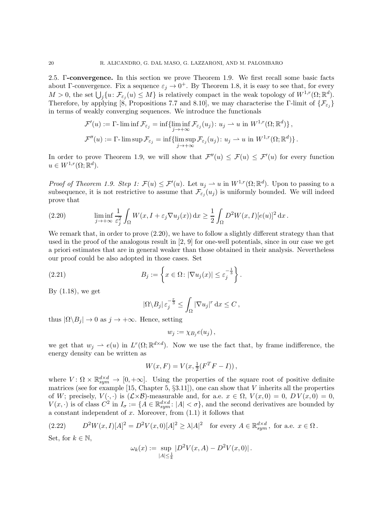2.5. Γ-convergence. In this section we prove Theorem 1.9. We first recall some basic facts about Γ-convergence. Fix a sequence  $\varepsilon_j \to 0^+$ . By Theorem 1.8, it is easy to see that, for every  $M > 0$ , the set  $\bigcup_j \{u \colon \mathcal{F}_{\varepsilon_j}(u) \leq M\}$  is relatively compact in the weak topology of  $W^{1,r}(\Omega;\mathbb{R}^d)$ . Therefore, by applying [8, Propositions 7.7 and 8.10], we may characterise the Γ-limit of  $\{\mathcal{F}_{\varepsilon_j}\}$ in terms of weakly converging sequences. We introduce the functionals

$$
\mathcal{F}'(u) := \Gamma \text{-}\liminf \mathcal{F}_{\varepsilon_j} = \inf \{ \liminf_{j \to +\infty} \mathcal{F}_{\varepsilon_j}(u_j) \colon u_j \to u \text{ in } W^{1,r}(\Omega; \mathbb{R}^d) \},
$$
  

$$
\mathcal{F}''(u) := \Gamma \text{-}\limsup \mathcal{F}_{\varepsilon_j} = \inf \{ \limsup_{j \to +\infty} \mathcal{F}_{\varepsilon_j}(u_j) \colon u_j \to u \text{ in } W^{1,r}(\Omega; \mathbb{R}^d) \}.
$$

In order to prove Theorem 1.9, we will show that  $\mathcal{F}''(u) \leq \mathcal{F}(u) \leq \mathcal{F}'(u)$  for every function  $u \in W^{1,r}(\Omega;\mathbb{R}^d).$ 

*Proof of Theorem 1.9. Step 1:*  $\mathcal{F}(u) \leq \mathcal{F}'(u)$ . Let  $u_j \rightharpoonup u$  in  $W^{1,r}(\Omega;\mathbb{R}^d)$ . Upon to passing to a subsequence, it is not restrictive to assume that  $\mathcal{F}_{\varepsilon_j}(u_j)$  is uniformly bounded. We will indeed prove that

(2.20) 
$$
\liminf_{j \to +\infty} \frac{1}{\varepsilon_j^2} \int_{\Omega} W(x, I + \varepsilon_j \nabla u_j(x)) dx \geq \frac{1}{2} \int_{\Omega} D^2 W(x, I) [e(u)]^2 dx.
$$

We remark that, in order to prove  $(2.20)$ , we have to follow a slightly different strategy than that used in the proof of the analogous result in [2, 9] for one-well potentials, since in our case we get a priori estimates that are in general weaker than those obtained in their analysis. Nevertheless our proof could be also adopted in those cases. Set

(2.21) 
$$
B_j := \left\{ x \in \Omega : |\nabla u_j(x)| \le \varepsilon_j^{-\frac{1}{3}} \right\}.
$$

By (1.18), we get

$$
|\Omega \backslash B_j| \, \varepsilon_j^{-\frac{r}{3}} \leq \int_{\Omega} |\nabla u_j|^r \, \mathrm{d} x \leq C \,,
$$

thus  $|\Omega \backslash B_j| \to 0$  as  $j \to +\infty$ . Hence, setting

$$
w_j := \chi_{B_j}e(u_j)\,,
$$

we get that  $w_j \rightharpoonup e(u)$  in  $L^r(\Omega;\mathbb{R}^{d \times d})$ . Now we use the fact that, by frame indifference, the energy density can be written as

$$
W(x, F) = V(x, \frac{1}{2}(F^{T}F - I)),
$$

where  $V: \Omega \times \mathbb{R}^{d \times d}_{sym} \to [0, +\infty]$ . Using the properties of the square root of positive definite matrices (see for example  $[15, Chapter 5, \S3.11]$ ), one can show that V inherits all the properties of W; precisely,  $V(\cdot, \cdot)$  is  $(\mathcal{L} \times \mathcal{B})$ -measurable and, for a.e.  $x \in \Omega$ ,  $V(x, 0) = 0$ ,  $DV(x, 0) = 0$ ,  $V(x, \cdot)$  is of class  $C^2$  in  $I_{\sigma} := \{A \in \mathbb{R}^{d \times d}_{sym} : |A| < \sigma\}$ , and the second derivatives are bounded by a constant independent of  $x$ . Moreover, from  $(1.1)$  it follows that

$$
(2.22) \tD^2 W(x,I)[A]^2 = D^2 V(x,0)[A]^2 \ge \lambda |A|^2 \tfor every A \in \mathbb{R}^{d \times d}_{sym}, for a.e. x \in \Omega.
$$

Set, for  $k \in \mathbb{N}$ ,

$$
\omega_k(x) := \sup_{|A| \le \frac{1}{k}} |D^2 V(x, A) - D^2 V(x, 0)|.
$$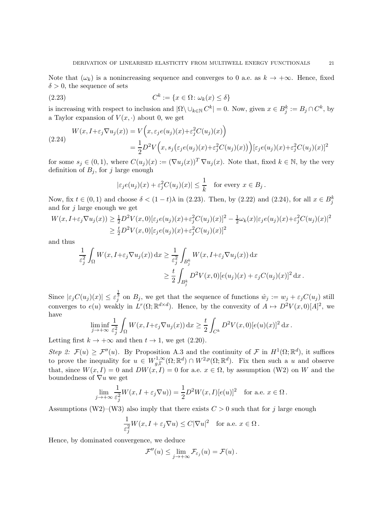Note that  $(\omega_k)$  is a nonincreasing sequence and converges to 0 a.e. as  $k \to +\infty$ . Hence, fixed  $\delta > 0$ , the sequence of sets

(2.23) 
$$
C^k := \{x \in \Omega : \omega_k(x) \le \delta\}
$$

is increasing with respect to inclusion and  $|\Omega \setminus \cup_{k \in \mathbb{N}} C^k| = 0$ . Now, given  $x \in B_j^k := B_j \cap C^k$ , by a Taylor expansion of  $V(x, \cdot)$  about 0, we get

$$
(2.24) \qquad W(x, I + \varepsilon_j \nabla u_j(x)) = V\Big(x, \varepsilon_j e(u_j)(x) + \varepsilon_j^2 C(u_j)(x)\Big) = \frac{1}{2} D^2 V\Big(x, s_j\big(\varepsilon_j e(u_j)(x) + \varepsilon_j^2 C(u_j)(x)\big)\Big) [\varepsilon_j e(u_j)(x) + \varepsilon_j^2 C(u_j)(x)]^2
$$

for some  $s_j \in (0,1)$ , where  $C(u_j)(x) := (\nabla u_j(x))^T \nabla u_j(x)$ . Note that, fixed  $k \in \mathbb{N}$ , by the very definition of  $B_i$ , for j large enough

$$
|\varepsilon_j e(u_j)(x) + \varepsilon_j^2 C(u_j)(x)| \le \frac{1}{k} \quad \text{for every } x \in B_j.
$$

Now, fix  $t \in (0,1)$  and choose  $\delta < (1-t)\lambda$  in (2.23). Then, by (2.22) and (2.24), for all  $x \in B_j^k$ and for  $j$  large enough we get

$$
W(x, I + \varepsilon_j \nabla u_j(x)) \ge \frac{1}{2} D^2 V(x, 0) [\varepsilon_j e(u_j)(x) + \varepsilon_j^2 C(u_j)(x)]^2 - \frac{1}{2} \omega_k(x) |\varepsilon_j e(u_j)(x) + \varepsilon_j^2 C(u_j)(x)|^2
$$
  
\n
$$
\ge \frac{t}{2} D^2 V(x, 0) [\varepsilon_j e(u_j)(x) + \varepsilon_j^2 C(u_j)(x)]^2
$$

and thus

$$
\frac{1}{\varepsilon_j^2} \int_{\Omega} W(x, I + \varepsilon_j \nabla u_j(x)) dx \ge \frac{1}{\varepsilon_j^2} \int_{B_j^k} W(x, I + \varepsilon_j \nabla u_j(x)) dx
$$
  

$$
\ge \frac{t}{2} \int_{B_j^k} D^2 V(x, 0) [e(u_j)(x) + \varepsilon_j C(u_j)(x)]^2 dx.
$$

Since  $|\varepsilon_j C(u_j)(x)| \leq \varepsilon_j^{\frac{1}{3}}$  on  $B_j$ , we get that the sequence of functions  $\hat{w}_j := w_j + \varepsilon_j C(u_j)$  still converges to  $e(u)$  weakly in  $L^r(\Omega;\mathbb{R}^{d\times d})$ . Hence, by the convexity of  $A \mapsto D^2V(x,0)[A]^2$ , we have

$$
\liminf_{j \to +\infty} \frac{1}{\varepsilon_j^2} \int_{\Omega} W(x, I + \varepsilon_j \nabla u_j(x)) dx \ge \frac{t}{2} \int_{C^k} D^2 V(x, 0) [e(u)(x)]^2 dx.
$$

Letting first  $k \to +\infty$  and then  $t \to 1$ , we get (2.20).

Step 2:  $\mathcal{F}(u) \geq \mathcal{F}''(u)$ . By Proposition A.3 and the continuity of  $\mathcal{F}$  in  $H^1(\Omega;\mathbb{R}^d)$ , it suffices to prove the inequality for  $u \in W_{g,\Gamma}^{1,\infty}(\Omega;\mathbb{R}^d) \cap W^{2,p}(\Omega;\mathbb{R}^d)$ . Fix then such a u and observe that, since  $W(x, I) = 0$  and  $DW(x, I) = 0$  for a.e.  $x \in \Omega$ , by assumption (W2) on W and the boundedness of  $\nabla u$  we get

$$
\lim_{j \to +\infty} \frac{1}{\varepsilon_j^2} W(x, I + \varepsilon_j \nabla u)) = \frac{1}{2} D^2 W(x, I) [e(u)]^2 \text{ for a.e. } x \in \Omega.
$$

Assumptions (W2)–(W3) also imply that there exists  $C > 0$  such that for j large enough

$$
\frac{1}{\varepsilon_j^2} W(x, I + \varepsilon_j \nabla u) \le C|\nabla u|^2 \quad \text{for a.e. } x \in \Omega.
$$

Hence, by dominated convergence, we deduce

$$
\mathcal{F}''(u) \leq \lim_{j \to +\infty} \mathcal{F}_{\varepsilon_j}(u) = \mathcal{F}(u) .
$$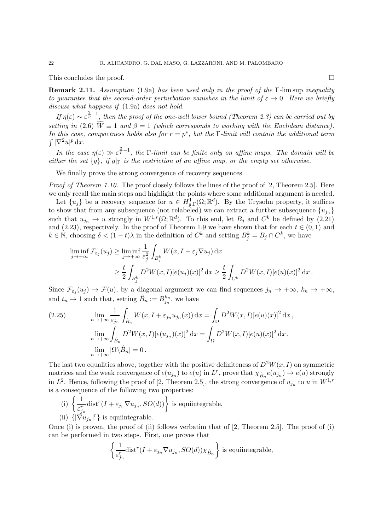This concludes the proof.  $\Box$ 

Remark 2.11. Assumption (1.9a) has been used only in the proof of the Γ-lim sup inequality to guarantee that the second-order perturbation vanishes in the limit of  $\varepsilon \to 0$ . Here we briefly discuss what happens if (1.9a) does not hold.

If  $\eta(\varepsilon) \sim \varepsilon^{\frac{2}{p}-1}$ , then the proof of the one-well lower bound (Theorem 2.3) can be carried out by setting in (2.6)  $\widetilde{W} \equiv 1$  and  $\beta = 1$  (which corresponds to working with the Euclidean distance). In this case, compactness holds also for  $r = p^*$ , but the  $\Gamma$ -limit will contain the additional term  $\int |\nabla^2 u|^p \, \mathrm{d}x.$ 

In the case  $\eta(\varepsilon) \gg \varepsilon^{\frac{2}{p}-1}$ , the *Γ*-limit can be finite only on affine maps. The domain will be either the set  ${g}$ , if  $g|_{\Gamma}$  is the restriction of an affine map, or the empty set otherwise.

We finally prove the strong convergence of recovery sequences.

Proof of Theorem 1.10. The proof closely follows the lines of the proof of [2, Theorem 2.5]. Here we only recall the main steps and highlight the points where some additional argument is needed.

Let  $\{u_j\}$  be a recovery sequence for  $u \in H^1_{g,\Gamma}(\Omega;\mathbb{R}^d)$ . By the Urysohn property, it suffices to show that from any subsequence (not relabeled) we can extract a further subsequence  ${u_{i_n}}$ such that  $u_{j_n} \to u$  strongly in  $W^{1,r}(\Omega;\mathbb{R}^d)$ . To this end, let  $B_j$  and  $C^k$  be defined by (2.21) and (2.23), respectively. In the proof of Theorem 1.9 we have shown that for each  $t \in (0,1)$  and  $k \in \mathbb{N}$ , choosing  $\delta < (1-t)\lambda$  in the definition of  $C^k$  and setting  $B_j^k = B_j \cap C^k$ , we have

$$
\liminf_{j \to +\infty} \mathcal{F}_{\varepsilon_j}(u_j) \ge \liminf_{j \to +\infty} \frac{1}{\varepsilon_j^2} \int_{B_j^k} W(x, I + \varepsilon_j \nabla u_j) dx
$$
\n
$$
\ge \frac{t}{2} \int_{B_j^k} D^2 W(x, I) [e(u_j)(x)]^2 dx \ge \frac{t}{2} \int_{C^k} D^2 W(x, I) [e(u)(x)]^2 dx.
$$

Since  $\mathcal{F}_{\varepsilon_j}(u_j) \to \mathcal{F}(u)$ , by a diagonal argument we can find sequences  $j_n \to +\infty$ ,  $k_n \to +\infty$ , and  $t_n \to 1$  such that, setting  $\hat{B}_n := B_{j_n}^{k_n}$  $\frac{k_n}{j_n}$ , we have

(2.25) 
$$
\lim_{n \to +\infty} \frac{1}{\varepsilon_{j_n}} \int_{\hat{B}_n} W(x, I + \varepsilon_{j_n} u_{j_n}(x)) dx = \int_{\Omega} D^2 W(x, I) [e(u)(x)]^2 dx,
$$

$$
\lim_{n \to +\infty} \int_{\hat{B}_n} D^2 W(x, I) [e(u_{j_n})(x)]^2 dx = \int_{\Omega} D^2 W(x, I) [e(u)(x)]^2 dx,
$$

$$
\lim_{n \to +\infty} |\Omega \setminus \hat{B}_n| = 0.
$$

The last two equalities above, together with the positive definiteness of  $D^2W(x, I)$  on symmetric matrices and the weak convergence of  $e(u_{j_n})$  to  $e(u)$  in  $L^r$ , prove that  $\chi_{\hat{B}_n}e(u_{j_n}) \to e(u)$  strongly in  $L^2$ . Hence, following the proof of [2, Theorem 2.5], the strong convergence of  $u_{j_n}$  to u in  $W^{1,r}$ is a consequence of the following two properties:

(i) 
$$
\left\{ \frac{1}{\varepsilon_{j_n}^r} \text{dist}^r(I + \varepsilon_{j_n} \nabla u_{j_n}, SO(d)) \right\}
$$
 is equiintegrable,  
(ii)  $\{ |\nabla u_{j_n}|^r \}$  is equiintegrable.

Once (i) is proven, the proof of (ii) follows verbatim that of [2, Theorem 2.5]. The proof of (i) can be performed in two steps. First, one proves that

$$
\left\{\frac{1}{\varepsilon_{j_n}^r}\text{dist}^r(I+\varepsilon_{j_n}\nabla u_{j_n},SO(d))\chi_{\hat{B}_n}\right\}\text{ is equiintegrable,}
$$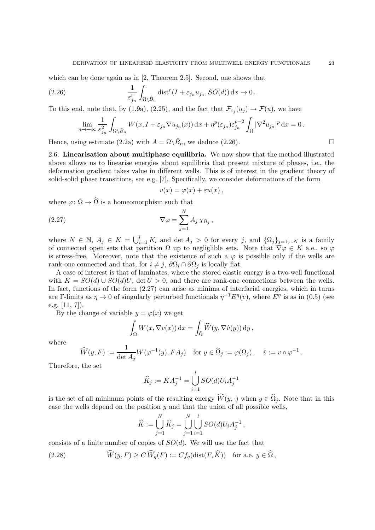which can be done again as in [2, Theorem 2.5]. Second, one shows that

(2.26) 
$$
\frac{1}{\varepsilon_{j_n}^r} \int_{\Omega \setminus \hat{B}_n} \text{dist}^r(I + \varepsilon_{j_n} u_{j_n}, SO(d)) \, \mathrm{d}x \to 0.
$$

To this end, note that, by (1.9a), (2.25), and the fact that  $\mathcal{F}_{\varepsilon_j}(u_j) \to \mathcal{F}(u)$ , we have

$$
\lim_{n \to +\infty} \frac{1}{\varepsilon_{j_n}^2} \int_{\Omega \setminus \hat{B}_n} W(x, I + \varepsilon_{j_n} \nabla u_{j_n}(x)) dx + \eta^p(\varepsilon_{j_n}) \varepsilon_{j_n}^{p-2} \int_{\Omega} |\nabla^2 u_{j_n}|^p dx = 0.
$$

Hence, using estimate (2.2a) with  $A = \Omega \backslash \hat{B}_n$ , we deduce (2.26).

2.6. Linearisation about multiphase equilibria. We now show that the method illustrated above allows us to linearise energies about equilibria that present mixture of phases, i.e., the deformation gradient takes value in different wells. This is of interest in the gradient theory of solid-solid phase transitions, see e.g. [7]. Specifically, we consider deformations of the form

$$
v(x) = \varphi(x) + \varepsilon u(x) ,
$$

where  $\varphi \colon \Omega \to \widehat{\Omega}$  is a homeomorphism such that

(2.27) 
$$
\nabla \varphi = \sum_{j=1}^{N} A_j \chi_{\Omega_j},
$$

where  $N \in \mathbb{N}$ ,  $A_j \in K = \bigcup_{i=1}^l K_i$  and  $\det A_j > 0$  for every j, and  $\{\Omega_j\}_{j=1,\dots,N}$  is a family of connected open sets that partition  $\Omega$  up to negliglible sets. Note that  $\nabla \varphi \in K$  a.e., so  $\varphi$ is stress-free. Moreover, note that the existence of such a  $\varphi$  is possible only if the wells are rank-one connected and that, for  $i \neq j$ ,  $\partial\Omega_i \cap \partial\Omega_j$  is locally flat.

A case of interest is that of laminates, where the stored elastic energy is a two-well functional with  $K = SO(d) \cup SO(d)U$ , det  $U > 0$ , and there are rank-one connections between the wells. In fact, functions of the form (2.27) can arise as minima of interfacial energies, which in turns are Γ-limits as  $\eta \to 0$  of singularly perturbed functionals  $\eta^{-1} E^{\eta}(v)$ , where  $E^{\eta}$  is as in (0.5) (see e.g. [11, 7]).

By the change of variable  $y = \varphi(x)$  we get

$$
\int_{\Omega} W(x, \nabla v(x)) dx = \int_{\widehat{\Omega}} \widehat{W}(y, \nabla \widehat{v}(y)) dy,
$$

where

$$
\widehat{W}(y,F) := \frac{1}{\det A_j} W(\varphi^{-1}(y), FA_j) \quad \text{for } y \in \widehat{\Omega}_j := \varphi(\Omega_j), \quad \widehat{v} := v \circ \varphi^{-1}.
$$

Therefore, the set

$$
\widehat{K}_j := KA_j^{-1} = \bigcup_{i=1}^l SO(d)U_iA_j^{-1}
$$

is the set of all minimum points of the resulting energy  $\widehat{W}(y, \cdot)$  when  $y \in \widehat{\Omega}_i$ . Note that in this case the wells depend on the position  $y$  and that the union of all possible wells,

$$
\widehat{K} := \bigcup_{j=1}^{N} \widehat{K}_{j} = \bigcup_{j=1}^{N} \bigcup_{i=1}^{l} SO(d)U_{i}A_{j}^{-1},
$$

consists of a finite number of copies of  $SO(d)$ . We will use the fact that

(2.28) 
$$
\widehat{W}(y,F) \ge C \widehat{W}_q(F) := C f_q(\text{dist}(F,\widehat{K})) \text{ for a.e. } y \in \widehat{\Omega},
$$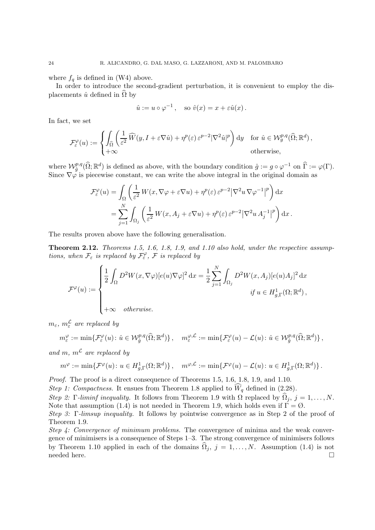where  $f_q$  is defined in (W4) above.

In order to introduce the second-gradient perturbation, it is convenient to employ the displacements  $\hat{u}$  defined in  $\Omega$  by

$$
\hat{u} := u \circ \varphi^{-1}
$$
, so  $\hat{v}(x) = x + \varepsilon \hat{u}(x)$ .

In fact, we set

$$
\mathcal{F}_{\varepsilon}^{\varphi}(u) := \begin{cases} \displaystyle\int_{\widehat{\Omega}} \left( \frac{1}{\varepsilon^2} \, \widehat{W}(y, I + \varepsilon \nabla \hat{u}) + \eta^p(\varepsilon) \, \varepsilon^{p-2} |\nabla^2 \hat{u}|^p \right) \mathrm{d}y & \text{for } \hat{u} \in \mathcal{W}_g^{p,q}(\widehat{\Omega}; \mathbb{R}^d), \\ +\infty & \text{otherwise,} \end{cases}
$$

where  $\mathcal{W}_{\hat{g}}^{p,q}(\widehat{\Omega};\mathbb{R}^d)$  is defined as above, with the boundary condition  $\hat{g} := g \circ \varphi^{-1}$  on  $\widehat{\Gamma} := \varphi(\Gamma)$ . Since  $\nabla \varphi$  is piecewise constant, we can write the above integral in the original domain as

$$
\mathcal{F}_{\varepsilon}^{\varphi}(u) = \int_{\Omega} \left( \frac{1}{\varepsilon^{2}} W(x, \nabla \varphi + \varepsilon \nabla u) + \eta^{p}(\varepsilon) \varepsilon^{p-2} |\nabla^{2} u \nabla \varphi^{-1}|^{p} \right) dx
$$
  
= 
$$
\sum_{j=1}^{N} \int_{\Omega_{j}} \left( \frac{1}{\varepsilon^{2}} W(x, A_{j} + \varepsilon \nabla u) + \eta^{p}(\varepsilon) \varepsilon^{p-2} |\nabla^{2} u A_{j}^{-1}|^{p} \right) dx.
$$

The results proven above have the following generalisation.

Theorem 2.12. Theorems 1.5, 1.6, 1.8, 1.9, and 1.10 also hold, under the respective assumptions, when  $\mathcal{F}_{\varepsilon}$  is replaced by  $\mathcal{F}_{\varepsilon}^{\varphi}$ ,  $\mathcal{F}$  is replaced by

$$
\mathcal{F}^{\varphi}(u) := \begin{cases} \frac{1}{2} \int_{\Omega} D^2 W(x, \nabla \varphi) [e(u) \nabla \varphi]^2 \, dx = \frac{1}{2} \sum_{j=1}^N \int_{\Omega_j} D^2 W(x, A_j) [e(u) A_j]^2 \, dx \\ &\text{if } u \in H^1_{g, \Gamma}(\Omega; \mathbb{R}^d), \\ +\infty & otherwise. \end{cases}
$$

 $m_{\varepsilon}$ ,  $m_{\varepsilon}^{\mathcal{L}}$  are replaced by

$$
m_{\varepsilon}^{\varphi} := \min \{ \mathcal{F}_{\varepsilon}^{\varphi}(u) : \hat{u} \in \mathcal{W}_{\hat{g}}^{p,q}(\widehat{\Omega}; \mathbb{R}^d) \}, \quad m_{\varepsilon}^{\varphi, \mathcal{L}} := \min \{ \mathcal{F}_{\varepsilon}^{\varphi}(u) - \mathcal{L}(u) : \hat{u} \in \mathcal{W}_{\hat{g}}^{p,q}(\widehat{\Omega}; \mathbb{R}^d) \},
$$

and m,  $m^{\mathcal{L}}$  are replaced by

$$
m^{\varphi} := \min \{ \mathcal{F}^{\varphi}(u) \colon u \in H^1_{g,\Gamma}(\Omega; \mathbb{R}^d) \}, \quad m^{\varphi, \mathcal{L}} := \min \{ \mathcal{F}^{\varphi}(u) - \mathcal{L}(u) \colon u \in H^1_{g,\Gamma}(\Omega; \mathbb{R}^d) \}.
$$

Proof. The proof is a direct consequence of Theorems 1.5, 1.6, 1.8, 1.9, and 1.10.

Step 1: Compactness. It ensues from Theorem 1.8 applied to  $\widehat{W}_q$  defined in (2.28).

Step 2: Γ-liminf inequality. It follows from Theorem 1.9 with  $\Omega$  replaced by  $\hat{\Omega}_i$ ,  $j = 1, ..., N$ . Note that assumption (1.4) is not needed in Theorem 1.9, which holds even if  $\Gamma = \emptyset$ .

Step 3: Γ-limsup inequality. It follows by pointwise convergence as in Step 2 of the proof of Theorem 1.9.

Step 4: Convergence of minimum problems. The convergence of minima and the weak convergence of minimisers is a consequence of Steps 1–3. The strong convergence of minimisers follows by Theorem 1.10 applied in each of the domains  $\Omega_j$ ,  $j = 1, ..., N$ . Assumption (1.4) is not needed here.  $\Box$  needed here.  $\Box$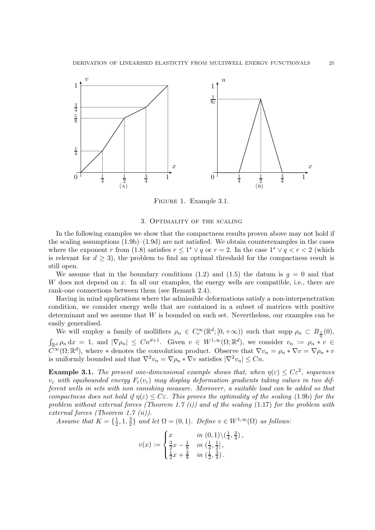

Figure 1. Example 3.1.

#### 3. Optimality of the scaling

In the following examples we show that the compactness results proven above may not hold if the scaling assumptions  $(1.9b)$ – $(1.9d)$  are not satisfied. We obtain counterexamples in the cases where the exponent r from (1.8) satisfies  $r \leq 1^* \vee q$  or  $r = 2$ . In the case  $1^* \vee q < r < 2$  (which is relevant for  $d \geq 3$ ), the problem to find an optimal threshold for the compactness result is still open.

We assume that in the boundary conditions (1.2) and (1.5) the datum is  $q = 0$  and that W does not depend on  $x$ . In all our examples, the energy wells are compatible, i.e., there are rank-one connections between them (see Remark 2.4).

Having in mind applications where the admissible deformations satisfy a non-interpenetration condition, we consider energy wells that are contained in a subset of matrices with positive determinant and we assume that W is bounded on such set. Nevertheless, our examples can be easily generalised.

We will employ a family of mollifiers  $\rho_n \in C_c^{\infty}(\mathbb{R}^d; [0, +\infty))$  such that supp  $\rho_n \subset B_{\frac{1}{n}}(0)$ ,  $\int_{\mathbb{R}^d} \rho_n \, dx = 1$ , and  $|\nabla \rho_n| \leq C n^{d+1}$ . Given  $v \in W^{1,\infty}(\Omega;\mathbb{R}^d)$ , we consider  $v_n := \rho_n * v \in$  $C^{\infty}(\Omega;\mathbb{R}^d)$ , where \* denotes the convolution product. Observe that  $\nabla v_n = \rho_n * \nabla v = \nabla \rho_n * v$ is uniformly bounded and that  $\nabla^2 v_n = \nabla \rho_n * \nabla v$  satisfies  $|\nabla^2 v_n| \leq Cn$ .

**Example 3.1.** The present one-dimensional example shows that, when  $\eta(\varepsilon) \leq C\varepsilon^2$ , sequences  $v_{\varepsilon}$  with equibounded energy  $F_{\varepsilon}(v_{\varepsilon})$  may display deformation gradients taking values in two different wells in sets with non vanishing measure. Moreover, a suitable load can be added so that compactness does not hold if  $\eta(\varepsilon) \leq C\varepsilon$ . This proves the optimality of the scaling (1.9b) for the problem without external forces (Theorem 1.7  $(i)$ ) and of the scaling (1.17) for the problem with external forces (Theorem 1.7 (ii)).

Assume that  $K = \{\frac{1}{2}\}$  $\frac{1}{2}$ , 1,  $\frac{3}{2}$  $\frac{3}{2}$  and let  $\Omega = (0, 1)$ . Define  $v \in W^{1,\infty}(\Omega)$  as follows:

$$
v(x) := \begin{cases} x & \text{in } (0,1) \setminus (\frac{1}{4}, \frac{3}{4}), \\ \frac{3}{2}x - \frac{1}{8} & \text{in } (\frac{1}{4}, \frac{1}{2}], \\ \frac{1}{2}x + \frac{3}{8} & \text{in } (\frac{1}{2}, \frac{3}{4}). \end{cases}
$$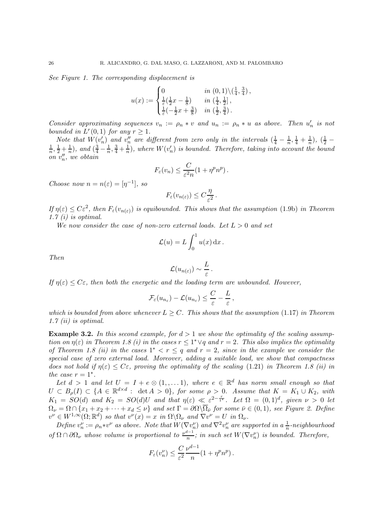See Figure 1. The corresponding displacement is

$$
u(x) := \begin{cases} 0 & \text{in } (0,1) \backslash (\frac{1}{4}, \frac{3}{4}), \\ \frac{1}{\varepsilon} (\frac{1}{2}x - \frac{1}{8}) & \text{in } (\frac{1}{4}, \frac{1}{2}], \\ \frac{1}{\varepsilon} (-\frac{1}{2}x + \frac{3}{8}) & \text{in } (\frac{1}{2}, \frac{3}{4}). \end{cases}
$$

Consider approximating sequences  $v_n := \rho_n * v$  and  $u_n := \rho_n * u$  as above. Then  $u'_n$  is not bounded in  $L^r(0,1)$  for any  $r \geq 1$ .

Note that  $W(v'_n)$  and  $v''_n$  are different from zero only in the intervals  $(\frac{1}{4} - \frac{1}{n})$  $\frac{1}{n}, \frac{1}{4} + \frac{1}{n}$  $\frac{1}{n}$ ),  $(\frac{1}{2}$  – 1  $\frac{1}{n}, \frac{1}{2} + \frac{1}{n}$  $\frac{1}{n}$ ), and  $\left(\frac{3}{4} - \frac{1}{n}\right)$  $\frac{1}{n}, \frac{3}{4} + \frac{1}{n}$  $\frac{1}{n}$ ), where  $W(v'_n)$  is bounded. Therefore, taking into account the bound on  $v''_n$ , we obtain

$$
F_{\varepsilon}(v_n) \leq \frac{C}{\varepsilon^2 n} (1 + \eta^p n^p).
$$

Choose now  $n = n(\varepsilon) = [\eta^{-1}],$  so

$$
F_{\varepsilon}(v_{n(\varepsilon)}) \leq C \frac{\eta}{\varepsilon^2}.
$$

If  $\eta(\varepsilon) \leq C\varepsilon^2$ , then  $F_{\varepsilon}(v_{n(\varepsilon)})$  is equibounded. This shows that the assumption (1.9b) in Theorem 1.7 $(i)$  is optimal.

We now consider the case of non-zero external loads. Let  $L > 0$  and set

$$
\mathcal{L}(u) = L \int_0^1 u(x) \, \mathrm{d}x \, .
$$

Then

$$
\mathcal{L}(u_{n(\varepsilon)}) \sim \frac{L}{\varepsilon}.
$$

If  $\eta(\varepsilon) \leq C\varepsilon$ , then both the energetic and the loading term are unbounded. However,

$$
\mathcal{F}_{\varepsilon}(u_{n_{\varepsilon}})-\mathcal{L}(u_{n_{\varepsilon}})\leq \frac{C}{\varepsilon}-\frac{L}{\varepsilon},
$$

which is bounded from above whenever  $L > C$ . This shows that the assumption (1.17) in Theorem 1.7 (ii) is optimal.

**Example 3.2.** In this second example, for  $d > 1$  we show the optimality of the scaling assumption on  $\eta(\varepsilon)$  in Theorem 1.8 (i) in the cases  $r \leq 1^* \vee q$  and  $r = 2$ . This also implies the optimality of Theorem 1.8 (ii) in the cases  $1^* < r \leq q$  and  $r = 2$ , since in the example we consider the special case of zero external load. Moreover, adding a suitable load, we show that compactness does not hold if  $\eta(\varepsilon) \leq C\varepsilon$ , proving the optimality of the scaling (1.21) in Theorem 1.8 (ii) in the case  $r = 1^*$ .

Let  $d > 1$  and let  $U = I + e \otimes (1, \ldots, 1)$ , where  $e \in \mathbb{R}^d$  has norm small enough so that  $U \subset B_{\rho}(I) \subset \{A \in \mathbb{R}^{d \times d} : \det A > 0\},$  for some  $\rho > 0$ . Assume that  $K = K_1 \cup K_2$ , with  $K_1 = SO(d)$  and  $K_2 = SO(d)U$  and that  $\eta(\varepsilon) \ll \varepsilon^{2-\frac{r}{1*}}$ . Let  $\Omega = (0, 1)^d$ , given  $\nu > 0$  let  $\Omega_{\nu} = \Omega \cap \{x_1 + x_2 + \cdots + x_d \leq \nu\}$  and set  $\Gamma = \partial \Omega \setminus \Omega_{\bar{\nu}}$  for some  $\bar{\nu} \in (0, 1)$ , see Figure 2. Define  $v^{\nu} \in W^{1,\infty}(\Omega;\mathbb{R}^d)$  so that  $v^{\nu}(x) = x$  in  $\Omega \backslash \Omega_{\nu}$  and  $\nabla v^{\nu} = U$  in  $\Omega_{\nu}$ .

Define  $v_n^{\nu} := \rho_n * v^{\nu}$  as above. Note that  $W(\nabla v_n^{\nu})$  and  $\nabla^2 v_n^{\nu}$  are supported in a  $\frac{1}{n}$ -neighbourhood of  $\Omega \cap \partial \Omega_{\nu}$  whose volume is proportional to  $\frac{\nu^{d-1}}{n}$  $\frac{n-1}{n}$ ; in such set  $W(\nabla v_n^{\nu})$  is bounded. Therefore,

$$
F_{\varepsilon}(v_n^{\nu}) \leq \frac{C}{\varepsilon^2} \frac{\nu^{d-1}}{n} (1 + \eta^p n^p).
$$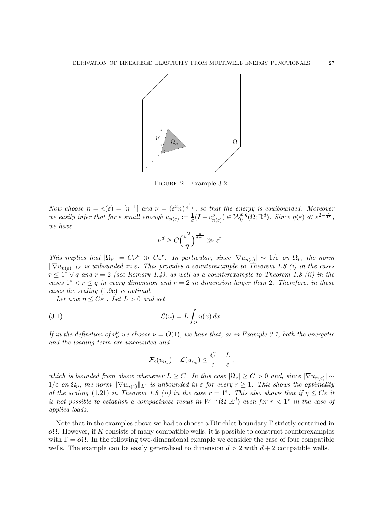

Figure 2. Example 3.2.

Now choose  $n = n(\varepsilon) = [\eta^{-1}]$  and  $\nu = (\varepsilon^2 n)^{\frac{1}{d-1}}$ , so that the energy is equibounded. Moreover we easily infer that for  $\varepsilon$  small enough  $u_{n(\varepsilon)} := \frac{1}{\varepsilon}(I - v_{n(\varepsilon)}^{\nu}) \in \mathcal{W}^{p,q}_0(\Omega;\mathbb{R}^d)$ . Since  $\eta(\varepsilon) \ll \varepsilon^{2-\frac{r}{1^{*}}},$ we have

$$
\nu^d \geq C \Big(\frac{\varepsilon^2}{\eta}\Big)^{\frac{d}{d-1}} \gg \varepsilon^r\,.
$$

This implies that  $|\Omega_{\nu}| = C\nu^d \gg C\varepsilon^r$ . In particular, since  $|\nabla u_{n(\varepsilon)}| \sim 1/\varepsilon$  on  $\Omega_{\nu}$ , the norm  $\|\nabla u_{n(\varepsilon)}\|_{L^r}$  is unbounded in  $\varepsilon$ . This provides a counterexample to Theorem 1.8 (i) in the cases  $r \leq 1^* \vee q$  and  $r = 2$  (see Remark 1.4), as well as a counterexample to Theorem 1.8 (ii) in the cases  $1^* < r \leq q$  in every dimension and  $r = 2$  in dimension larger than 2. Therefore, in these cases the scaling (1.9c) is optimal.

Let now  $\eta \leq C\varepsilon$ . Let  $L > 0$  and set

(3.1) 
$$
\mathcal{L}(u) = L \int_{\Omega} u(x) dx.
$$

If in the definition of  $v_n^{\nu}$  we choose  $\nu = O(1)$ , we have that, as in Example 3.1, both the energetic and the loading term are unbounded and

$$
\mathcal{F}_{\varepsilon}(u_{n_{\varepsilon}})-\mathcal{L}(u_{n_{\varepsilon}})\leq \frac{C}{\varepsilon}-\frac{L}{\varepsilon},
$$

which is bounded from above whenever  $L \geq C$ . In this case  $|\Omega_{\nu}| \geq C > 0$  and, since  $|\nabla u_{n(\varepsilon)}| \sim$  $1/\varepsilon$  on  $\Omega_{\nu}$ , the norm  $\|\nabla u_{n(\varepsilon)}\|_{L^r}$  is unbounded in  $\varepsilon$  for every  $r \geq 1$ . This shows the optimality of the scaling (1.21) in Theorem 1.8 (ii) in the case  $r = 1^*$ . This also shows that if  $\eta \leq C\varepsilon$  it is not possible to establish a compactness result in  $W^{1,r}(\Omega;\mathbb{R}^d)$  even for  $r < 1^*$  in the case of applied loads.

Note that in the examples above we had to choose a Dirichlet boundary  $\Gamma$  strictly contained in  $\partial Ω$ . However, if K consists of many compatible wells, it is possible to construct counterexamples with  $\Gamma = \partial \Omega$ . In the following two-dimensional example we consider the case of four compatible wells. The example can be easily generalised to dimension  $d > 2$  with  $d + 2$  compatible wells.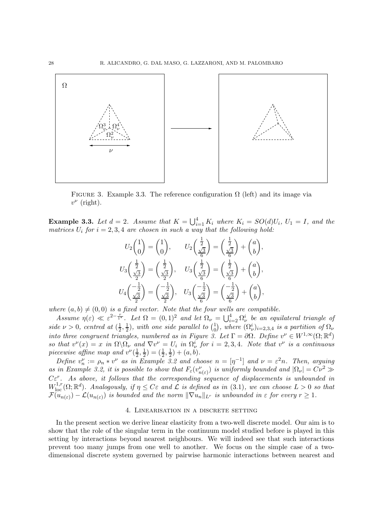

FIGURE 3. Example 3.3. The reference configuration  $\Omega$  (left) and its image via  $v^{\nu}$  (right).

**Example 3.3.** Let  $d = 2$ . Assume that  $K = \bigcup_{i=1}^{4} K_i$  where  $K_i = SO(d)U_i$ ,  $U_1 = I$ , and the matrices  $U_i$  for  $i = 2, 3, 4$  are chosen in such a way that the following hold:

$$
U_2\begin{pmatrix} 1 \\ 0 \end{pmatrix} = \begin{pmatrix} 1 \\ 0 \end{pmatrix}, \qquad U_2\begin{pmatrix} \frac{1}{2} \\ \frac{\sqrt{3}}{6} \end{pmatrix} = \begin{pmatrix} \frac{1}{2} \\ \frac{\sqrt{3}}{6} \end{pmatrix} + \begin{pmatrix} a \\ b \end{pmatrix},
$$
  

$$
U_3\begin{pmatrix} \frac{1}{2} \\ \frac{\sqrt{3}}{2} \end{pmatrix} = \begin{pmatrix} \frac{1}{2} \\ \frac{\sqrt{3}}{2} \end{pmatrix}, \qquad U_3\begin{pmatrix} \frac{1}{2} \\ \frac{\sqrt{3}}{6} \end{pmatrix} = \begin{pmatrix} \frac{1}{2} \\ \frac{\sqrt{3}}{6} \end{pmatrix} + \begin{pmatrix} a \\ b \end{pmatrix},
$$
  

$$
U_4\begin{pmatrix} -\frac{1}{2} \\ \frac{\sqrt{3}}{2} \end{pmatrix} = \begin{pmatrix} -\frac{1}{2} \\ \frac{\sqrt{3}}{2} \end{pmatrix}, \qquad U_3\begin{pmatrix} -\frac{1}{2} \\ \frac{\sqrt{3}}{6} \end{pmatrix} = \begin{pmatrix} -\frac{1}{2} \\ \frac{\sqrt{3}}{6} \end{pmatrix} + \begin{pmatrix} a \\ b \end{pmatrix},
$$

where  $(a, b) \neq (0, 0)$  is a fixed vector. Note that the four wells are compatible.

Assume  $\eta(\varepsilon) \ll \varepsilon^{2-\frac{r}{1^{*}}}$ . Let  $\Omega = (0,1)^{2}$  and let  $\Omega_{\nu} = \bigcup_{i=2}^{4} \Omega_{\nu}^{i}$  be an equilateral triangle of side  $\nu > 0$ , centred at  $\left(\frac{1}{2}\right)$  $\frac{1}{2}, \frac{1}{2}$  $\frac{1}{2}$ ), with one side parallel to  $\binom{1}{0}$  $\hat{p}_0^{(1)}$ , where  $(\Omega^i_\nu)_{i=2,3,4}$  is a partition of  $\Omega_\nu$ into three congruent triangles, numbered as in Figure 3. Let  $\Gamma = \partial \Omega$ . Define  $v^{\nu} \in W^{1,\infty}(\Omega;\mathbb{R}^d)$ so that  $v^{\nu}(x) = x$  in  $\Omega \backslash \Omega_{\nu}$  and  $\nabla v^{\nu} = U_i$  in  $\Omega_{\nu}^{i}$  for  $i = 2, 3, 4$ . Note that  $v^{\nu}$  is a continuous piecewise affine map and  $v^{\nu}(\frac{1}{2})$  $\frac{1}{2}, \frac{1}{2}$  $(\frac{1}{2})=(\frac{1}{2},\frac{1}{2})$  $(\frac{1}{2}) + (a, b).$ 

Define  $v_n^{\nu} := \rho_n * v^{\nu}$  as in Example 3.2 and choose  $n = [\eta^{-1}]$  and  $\nu = \varepsilon^2 n$ . Then, arguing as in Example 3.2, it is possible to show that  $F_{\varepsilon}(v_{n(\varepsilon)}^{\nu})$  is uniformly bounded and  $|\Omega_{\nu}| = C\nu^2 \gg$  $C\varepsilon^r$ . As above, it follows that the corresponding sequence of displacements is unbounded in  $W^{1,r}_{loc}(\Omega;\mathbb{R}^d)$ . Analogously, if  $\eta \leq C\varepsilon$  and  $\mathcal L$  is defined as in (3.1), we can choose  $L > 0$  so that  $\mathcal{F}(u_{n(\varepsilon)}) - \mathcal{L}(u_{n(\varepsilon)})$  is bounded and the norm  $\|\nabla u_n\|_{L^r}$  is unbounded in  $\varepsilon$  for every  $r \geq 1$ .

#### 4. Linearisation in a discrete setting

In the present section we derive linear elasticity from a two-well discrete model. Our aim is to show that the role of the singular term in the continuum model studied before is played in this setting by interactions beyond nearest neighbours. We will indeed see that such interactions prevent too many jumps from one well to another. We focus on the simple case of a twodimensional discrete system governed by pairwise harmonic interactions between nearest and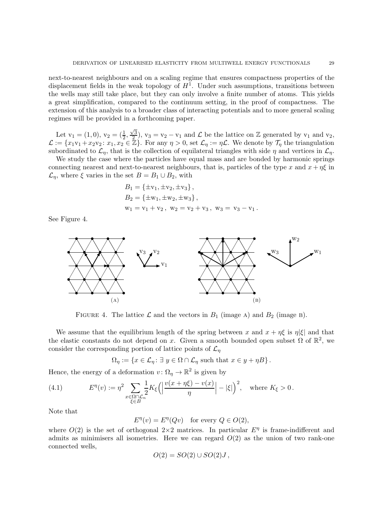next-to-nearest neighbours and on a scaling regime that ensures compactness properties of the displacement fields in the weak topology of  $H<sup>1</sup>$ . Under such assumptions, transitions between the wells may still take place, but they can only involve a finite number of atoms. This yields a great simplification, compared to the continuum setting, in the proof of compactness. The extension of this analysis to a broader class of interacting potentials and to more general scaling regimes will be provided in a forthcoming paper.

Let  $v_1 = (1,0), v_2 = (\frac{1}{2}, \frac{\sqrt{3}}{2})$  $(\frac{\sqrt{3}}{2})$ ,  $v_3 = v_2 - v_1$  and  $\mathcal{L}$  be the lattice on  $\mathbb{Z}$  generated by  $v_1$  and  $v_2$ ,  $\mathcal{L} := \{x_1v_1 + x_2v_2 : x_1, x_2 \in \mathbb{Z}\}.$  For any  $\eta > 0$ , set  $\mathcal{L}_{\eta} := \eta \mathcal{L}$ . We denote by  $\mathcal{T}_{\eta}$  the triangulation subordinated to  $\mathcal{L}_n$ , that is the collection of equilateral triangles with side  $\eta$  and vertices in  $\mathcal{L}_n$ .

We study the case where the particles have equal mass and are bonded by harmonic springs connecting nearest and next-to-nearest neighbours, that is, particles of the type x and  $x + \eta \xi$  in  $\mathcal{L}_n$ , where  $\xi$  varies in the set  $B = B_1 \cup B_2$ , with

$$
B_1 = \{ \pm v_1, \pm v_2, \pm v_3 \},
$$
  
\n
$$
B_2 = \{ \pm w_1, \pm w_2, \pm w_3 \},
$$
  
\n
$$
w_1 = v_1 + v_2, w_2 = v_2 + v_3, w_3 = v_3 - v_1.
$$

See Figure 4.



FIGURE 4. The lattice  $\mathcal L$  and the vectors in  $B_1$  (image A) and  $B_2$  (image B).

We assume that the equilibrium length of the spring between x and  $x + \eta \xi$  is  $\eta |\xi|$  and that the elastic constants do not depend on x. Given a smooth bounded open subset  $\Omega$  of  $\mathbb{R}^2$ , we consider the corresponding portion of lattice points of  $\mathcal{L}_{\eta}$ 

 $\Omega_{\eta} := \{x \in \mathcal{L}_{\eta} : \exists y \in \Omega \cap \mathcal{L}_{\eta} \text{ such that } x \in y + \eta B\}.$ 

Hence, the energy of a deformation  $v: \Omega_{\eta} \to \mathbb{R}^2$  is given by

(4.1) 
$$
E^{\eta}(v) := \eta^2 \sum_{\substack{x \in \Omega \cap \mathcal{L}_n \\ \xi \in B}} \frac{1}{2} K_{\xi} \left( \left| \frac{v(x + \eta \xi) - v(x)}{\eta} \right| - |\xi| \right)^2, \text{ where } K_{\xi} > 0.
$$

Note that

 $E^{\eta}(v) = E^{\eta}(Qv)$  for every  $Q \in O(2)$ ,

where  $O(2)$  is the set of orthogonal  $2\times 2$  matrices. In particular  $E^{\eta}$  is frame-indifferent and admits as minimisers all isometries. Here we can regard  $O(2)$  as the union of two rank-one connected wells,

$$
O(2) = SO(2) \cup SO(2)J,
$$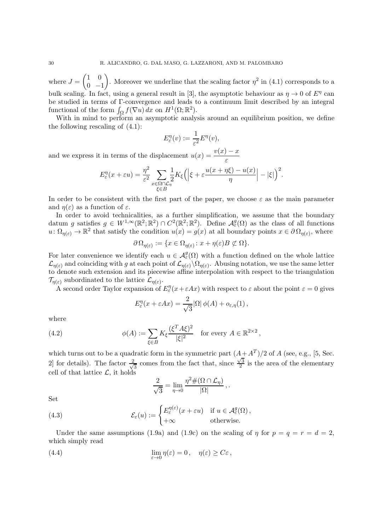where  $J =$  $(1 \ 0)$  $0 -1$  $\overline{ }$ . Moreover we underline that the scaling factor  $\eta^2$  in (4.1) corresponds to a bulk scaling. In fact, using a general result in [3], the asymptotic behaviour as  $\eta \to 0$  of  $E^{\eta}$  can be studied in terms of Γ-convergence and leads to a continuum limit described by an integral functional of the form  $\int_{\Omega} f(\nabla u) dx$  on  $H^1(\Omega; \mathbb{R}^2)$ .

With in mind to perform an asymptotic analysis around an equilibrium position, we define the following rescaling of (4.1):

$$
E_{\varepsilon}^{\eta}(v) := \frac{1}{\varepsilon^2} E^{\eta}(v),
$$

and we express it in terms of the displacement  $u(x) = \frac{v(x) - x}{\varepsilon}$ 

$$
E_{\varepsilon}^{\eta}(x+\varepsilon u) = \frac{\eta^2}{\varepsilon^2} \sum_{\substack{x \in \Omega \cap \mathcal{L}_\eta \\ \xi \in B}} \frac{1}{2} K_{\xi} \Big( \Big| \xi + \varepsilon \frac{u(x+\eta \xi) - u(x)}{\eta} \Big| - |\xi| \Big)^2.
$$

In order to be consistent with the first part of the paper, we choose  $\varepsilon$  as the main parameter and  $\eta(\varepsilon)$  as a function of  $\varepsilon$ .

In order to avoid technicalities, as a further simplification, we assume that the boundary datum g satisfies  $g \in W^{1,\infty}(\mathbb{R}^2;\mathbb{R}^2) \cap C^2(\mathbb{R}^2;\mathbb{R}^2)$ . Define  $\mathcal{A}_{\varepsilon}^g(\Omega)$  as the class of all functions  $u: \Omega_{\eta(\varepsilon)} \to \mathbb{R}^2$  that satisfy the condition  $u(x) = g(x)$  at all boundary points  $x \in \partial \Omega_{\eta(\varepsilon)}$ , where

$$
\partial\Omega_{\eta(\varepsilon)} := \{ x \in \Omega_{\eta(\varepsilon)} \colon x + \eta(\varepsilon)B \not\subset \Omega \}.
$$

For later convenience we identify each  $u \in \mathcal{A}_{\varepsilon}^g(\Omega)$  with a function defined on the whole lattice  $\mathcal{L}_{\eta(\varepsilon)}$  and coinciding with g at each point of  $\mathcal{L}_{\eta(\varepsilon)}\setminus\Omega_{\eta(\varepsilon)}$ . Abusing notation, we use the same letter to denote such extension and its piecewise affine interpolation with respect to the triangulation  $\mathcal{T}_{\eta(\varepsilon)}$  subordinated to the lattice  $\mathcal{L}_{\eta(\varepsilon)}$ .

A second order Taylor expansion of  $E_{\varepsilon}^{\eta}(x+\varepsilon Ax)$  with respect to  $\varepsilon$  about the point  $\varepsilon = 0$  gives

$$
E_{\varepsilon}^{\eta}(x+\varepsilon Ax)=\frac{2}{\sqrt{3}}|\Omega|\,\phi(A)+o_{\varepsilon,\eta}(1)\,,
$$

where

(4.2) 
$$
\phi(A) := \sum_{\xi \in B} K_{\xi} \frac{(\xi^T A \xi)^2}{|\xi|^2} \text{ for every } A \in \mathbb{R}^{2 \times 2},
$$

which turns out to be a quadratic form in the symmetric part  $(A + A<sup>T</sup>)/2$  of A (see, e.g., [5, Sec. 2] for details). The factor  $\frac{2}{\sqrt{2}}$  $\frac{1}{3}$  comes from the fact that, since  $\frac{\sqrt{3}}{2}$  $\frac{\sqrt{3}}{2}$  is the area of the elementary cell of that lattice  $\mathcal{L}$ , it holds

$$
\frac{2}{\sqrt{3}} = \lim_{\eta \to 0} \frac{\eta^2 \#(\Omega \cap \mathcal{L}_{\eta})}{|\Omega|},
$$

Set

(4.3) 
$$
\mathcal{E}_{\varepsilon}(u) := \begin{cases} E_{\varepsilon}^{\eta(\varepsilon)}(x + \varepsilon u) & \text{if } u \in \mathcal{A}_{\varepsilon}^{g}(\Omega), \\ +\infty & \text{otherwise.} \end{cases}
$$

Under the same assumptions (1.9a) and (1.9c) on the scaling of  $\eta$  for  $p = q = r = d = 2$ , which simply read

(4.4) 
$$
\lim_{\varepsilon \to 0} \eta(\varepsilon) = 0, \quad \eta(\varepsilon) \ge C\varepsilon,
$$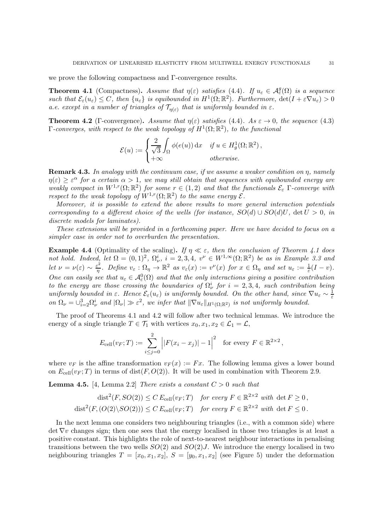we prove the following compactness and Γ-convergence results.

**Theorem 4.1** (Compactness). Assume that  $\eta(\varepsilon)$  satisfies (4.4). If  $u_{\varepsilon} \in \mathcal{A}_{\varepsilon}^g(\Omega)$  is a sequence such that  $\mathcal{E}_{\varepsilon}(u_{\varepsilon}) \leq C$ , then  $\{u_{\varepsilon}\}\$ is equibounded in  $H^1(\Omega;\mathbb{R}^2)$ . Furthermore,  $\det(I + \varepsilon \nabla u_{\varepsilon}) > 0$ a.e. except in a number of triangles of  $\mathcal{T}_{\eta(\varepsilon)}$  that is uniformly bounded in  $\varepsilon$ .

**Theorem 4.2** (Γ-convergence). Assume that  $\eta(\varepsilon)$  satisfies (4.4). As  $\varepsilon \to 0$ , the sequence (4.3)  $\Gamma$ -converges, with respect to the weak topology of  $H^1(\Omega;\mathbb{R}^2)$ , to the functional

$$
\mathcal{E}(u) := \begin{cases} \frac{2}{\sqrt{3}} \int_{\Omega} \phi(e(u)) \, dx & \text{if } u \in H_g^1(\Omega; \mathbb{R}^2), \\ +\infty & \text{otherwise.} \end{cases}
$$

**Remark 4.3.** In analogy with the continuum case, if we assume a weaker condition on  $\eta$ , namely  $\eta(\varepsilon) \geq \varepsilon^{\alpha}$  for a certain  $\alpha > 1$ , we may still obtain that sequences with equibounded energy are weakly compact in  $W^{1,r}(\Omega;\mathbb{R}^2)$  for some  $r \in (1,2)$  and that the functionals  $\mathcal{E}_{\varepsilon}$   $\Gamma$ -converge with respect to the weak topology of  $W^{1,r}(\Omega;\mathbb{R}^2)$  to the same energy  $\mathcal{E}$ .

Moreover, it is possible to extend the above results to more general interaction potentials corresponding to a different choice of the wells (for instance,  $SO(d) \cup SO(d)U$ , det  $U > 0$ , in discrete models for laminates).

These extensions will be provided in a forthcoming paper. Here we have decided to focus on a simpler case in order not to overburden the presentation.

**Example 4.4** (Optimality of the scaling). If  $\eta \ll \varepsilon$ , then the conclusion of Theorem 4.1 does not hold. Indeed, let  $\Omega = (0,1)^2$ ,  $\Omega_{\nu}^i$ ,  $i = 2,3,4$ ,  $v^{\nu} \in W^{1,\infty}(\Omega;\mathbb{R}^2)$  be as in Example 3.3 and let  $\nu = \nu(\varepsilon) \sim \frac{\varepsilon^2}{\eta}$  $\frac{e^2}{\eta}$ . Define  $v_{\varepsilon} : \Omega_{\eta} \to \mathbb{R}^2$  as  $v_{\varepsilon}(x) := v^{\nu}(x)$  for  $x \in \Omega_{\eta}$  and set  $u_{\varepsilon} := \frac{1}{\varepsilon}(I - v)$ . One can easily see that  $u_{\varepsilon} \in \mathcal{A}_{\varepsilon}^{0}(\Omega)$  and that the only interactions giving a positive contribution to the energy are those crossing the boundaries of  $\Omega^i_\nu$  for  $i = 2,3,4$ , such contribution being uniformly bounded in  $\varepsilon$ . Hence  $\mathcal{E}_{\varepsilon}(u_{\varepsilon})$  is uniformly bounded. On the other hand, since  $\nabla u_{\varepsilon} \sim \frac{1}{\varepsilon}$ ε on  $\Omega_{\nu} = \bigcup_{i=2}^{3} \Omega_{\nu}^{i}$  and  $|\Omega_{\nu}| \gg \varepsilon^{2}$ , we infer that  $\|\nabla u_{\varepsilon}\|_{H^{1}(\Omega; \mathbb{R}^{2})}$  is not uniformly bounded.

The proof of Theorems 4.1 and 4.2 will follow after two technical lemmas. We introduce the energy of a single triangle  $T \in \mathcal{T}_1$  with vertices  $x_0, x_1, x_2 \in \mathcal{L}_1 = \mathcal{L}$ ,

$$
E_{\text{cell}}(v_F;T) := \sum_{i \le j=0}^{2} \left| |F(x_i - x_j)| - 1 \right|^2 \text{ for every } F \in \mathbb{R}^{2 \times 2},
$$

where  $v_F$  is the affine transformation  $v_F(x) := Fx$ . The following lemma gives a lower bound on  $E_{cell}(v_F;T)$  in terms of dist(F, O(2)). It will be used in combination with Theorem 2.9.

**Lemma 4.5.** [4, Lemma 2.2] There exists a constant  $C > 0$  such that

$$
\text{dist}^2(F, SO(2)) \le C E_{\text{cell}}(v_F; T) \quad \text{for every } F \in \mathbb{R}^{2 \times 2} \text{ with } \det F \ge 0,
$$
  

$$
\text{dist}^2(F, (O(2) \setminus SO(2))) \le C E_{\text{cell}}(v_F; T) \quad \text{for every } F \in \mathbb{R}^{2 \times 2} \text{ with } \det F \le 0.
$$

In the next lemma one considers two neighbouring triangles (i.e., with a common side) where  $\det \nabla v$  changes sign; then one sees that the energy localised in those two triangles is at least a positive constant. This highlights the role of next-to-nearest neighbour interactions in penalising transitions between the two wells  $SO(2)$  and  $SO(2)J$ . We introduce the energy localised in two neighbouring triangles  $T = [x_0, x_1, x_2], S = [y_0, x_1, x_2]$  (see Figure 5) under the deformation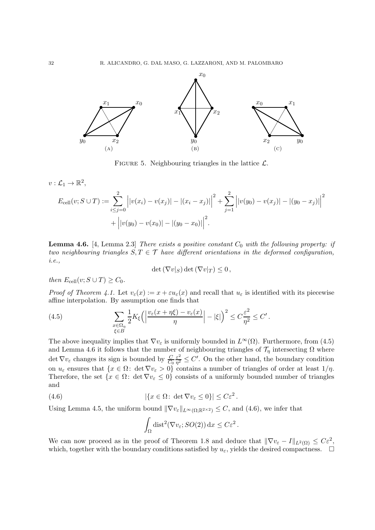

FIGURE 5. Neighbouring triangles in the lattice  $\mathcal{L}$ .

 $v:\mathcal{L}_1\to\mathbb{R}^2,$ 

$$
E_{\text{cell}}(v; S \cup T) := \sum_{i \le j=0}^{2} \left| |v(x_i) - v(x_j)| - |(x_i - x_j)| \right|^2 + \sum_{j=1}^{2} \left| |v(y_0) - v(x_j)| - |(y_0 - x_j)| \right|^2
$$
  
+  $\left| |v(y_0) - v(x_0)| - |(y_0 - x_0)| \right|^2$ .

**Lemma 4.6.** [4, Lemma 2.3] There exists a positive constant  $C_0$  with the following property: if two neighbouring triangles  $S, T \in \mathcal{T}$  have different orientations in the deformed configuration, i.e.,

$$
\det(\nabla v|_S)\det(\nabla v|_T)\leq 0\,,
$$

then  $E_{cell}(v; S \cup T) \geq C_0$ .

*Proof of Theorem 4.1.* Let  $v_{\varepsilon}(x) := x + \varepsilon u_{\varepsilon}(x)$  and recall that  $u_{\varepsilon}$  is identified with its piecewise affine interpolation. By assumption one finds that

(4.5) 
$$
\sum_{\substack{x \in \Omega_{\eta} \\ \xi \in B}} \frac{1}{2} K_{\xi} \left( \left| \frac{v_{\varepsilon}(x + \eta \xi) - v_{\varepsilon}(x)}{\eta} \right| - |\xi| \right)^2 \leq C \frac{\varepsilon^2}{\eta^2} \leq C'.
$$

The above inequality implies that  $\nabla v_{\varepsilon}$  is uniformly bounded in  $L^{\infty}(\Omega)$ . Furthermore, from (4.5) and Lemma 4.6 it follows that the number of neighbouring triangles of  $\mathcal{T}_\eta$  intersecting  $\Omega$  where det  $\nabla v_{\varepsilon}$  changes its sign is bounded by  $\frac{C}{C_0}$ ε 2  $\frac{\varepsilon^2}{\eta^2} \leq C'$ . On the other hand, the boundary condition on  $u_{\varepsilon}$  ensures that  $\{x \in \Omega: \det \nabla v_{\varepsilon} > 0\}$  contains a number of triangles of order at least  $1/\eta$ . Therefore, the set  $\{x \in \Omega: \det \nabla v_{\varepsilon} \leq 0\}$  consists of a uniformly bounded number of triangles and

(4.6) 
$$
|\{x \in \Omega : \det \nabla v_{\varepsilon} \leq 0\}| \leq C\varepsilon^2.
$$

Using Lemma 4.5, the uniform bound  $\|\nabla v_{\varepsilon}\|_{L^{\infty}(\Omega;\mathbb{R}^{2\times2})} \leq C$ , and (4.6), we infer that

$$
\int_{\Omega} \mathrm{dist}^2(\nabla v_{\varepsilon}; SO(2)) \, \mathrm{d}x \leq C \varepsilon^2.
$$

We can now proceed as in the proof of Theorem 1.8 and deduce that  $\|\nabla v_{\varepsilon} - I\|_{L^2(\Omega)} \leq C\varepsilon^2$ , which, together with the boundary conditions satisfied by  $u_{\varepsilon}$ , yields the desired compactness.  $\Box$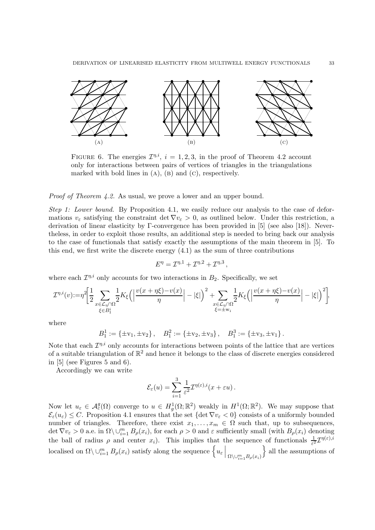

FIGURE 6. The energies  $\mathcal{I}^{\eta,i}$ ,  $i=1,2,3$ , in the proof of Theorem 4.2 account only for interactions between pairs of vertices of triangles in the triangulations marked with bold lines in  $(A)$ ,  $(B)$  and  $(C)$ , respectively.

Proof of Theorem 4.2. As usual, we prove a lower and an upper bound.

Step 1: Lower bound. By Proposition 4.1, we easily reduce our analysis to the case of deformations  $v_{\varepsilon}$  satisfying the constraint det  $\nabla v_{\varepsilon} > 0$ , as outlined below. Under this restriction, a derivation of linear elasticity by Γ-convergence has been provided in [5] (see also [18]). Nevertheless, in order to exploit those results, an additional step is needed to bring back our analysis to the case of functionals that satisfy exactly the assumptions of the main theorem in [5]. To this end, we first write the discrete energy  $(4.1)$  as the sum of three contributions

$$
E^{\eta} = \mathcal{I}^{\eta,1} + \mathcal{I}^{\eta,2} + \mathcal{I}^{\eta,3},
$$

where each  $\mathcal{I}^{\eta,i}$  only accounts for two interactions in  $B_2$ . Specifically, we set

$$
\mathcal{I}^{\eta,i}(\boldsymbol{v})\!:=\!\eta^2\!\bigg[\!\frac{1}{2}\!\sum_{\substack{x\in\mathcal{L}_\eta\cap\Omega\\ \xi\in B_1^i}}\!\!\frac{1}{2}K_\xi\Big(\Big|\frac{\boldsymbol{v}(x+\eta\xi)\!-\!\boldsymbol{v}(x)}{\eta}\Big|-\vert\xi\vert\Big)^2+\!\!\!\sum_{\substack{x\in\mathcal{L}_\eta\cap\Omega\\ \xi=\pm\mathbf{w}_i}}\!\!\frac{1}{2}K_\xi\Big(\Big|\frac{\boldsymbol{v}(x+\eta\xi)\!-\!\boldsymbol{v}(x)}{\eta}\Big|-\vert\xi\vert\Big)^2\bigg],
$$

where

$$
B_1^1 := \{\pm v_1, \pm v_2\}, \quad B_1^2 := \{\pm v_2, \pm v_3\}, \quad B_1^3 := \{\pm v_3, \pm v_1\}.
$$

Note that each  $\mathcal{I}^{\eta,i}$  only accounts for interactions between points of the lattice that are vertices of a suitable triangulation of  $\mathbb{R}^2$  and hence it belongs to the class of discrete energies considered in [5] (see Figures 5 and 6).

Accordingly we can write

$$
\mathcal{E}_{\varepsilon}(u) = \sum_{i=1}^{3} \frac{1}{\varepsilon^2} \mathcal{I}^{\eta(\varepsilon),i}(x+\varepsilon u).
$$

Now let  $u_{\varepsilon} \in \mathcal{A}_{\varepsilon}^g(\Omega)$  converge to  $u \in H^1_g(\Omega;\mathbb{R}^2)$  weakly in  $H^1(\Omega;\mathbb{R}^2)$ . We may suppose that  $\mathcal{E}_{\varepsilon}(u_{\varepsilon}) \leq C$ . Proposition 4.1 ensures that the set  $\{\det \nabla v_{\varepsilon} < 0\}$  consists of a uniformly bounded number of triangles. Therefore, there exist  $x_1, \ldots, x_m \in \Omega$  such that, up to subsequences,  $\det \nabla v_{\varepsilon} > 0$  a.e. in  $\Omega \setminus \cup_{i=1}^m B_{\rho}(x_i)$ , for each  $\rho > 0$  and  $\varepsilon$  sufficiently small (with  $B_{\rho}(x_i)$  denoting the ball of radius  $\rho$  and center  $x_i$ ). This implies that the sequence of functionals  $\frac{1}{\varepsilon^2} \mathcal{I}^{\eta(\varepsilon),i}$ localised on  $\Omega \setminus \cup_{i=1}^m B_\rho(x_i)$  satisfy along the sequence  $\left\{u_\varepsilon \, \middle| \, \min_{\Omega \setminus \cup_{i=1}^m B_\rho(x_i)} \right\}$  $\}$  all the assumptions of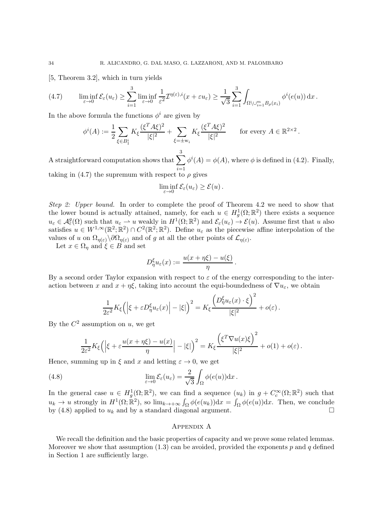[5, Theorem 3.2], which in turn yields

$$
(4.7) \qquad \liminf_{\varepsilon \to 0} \mathcal{E}_{\varepsilon}(u_{\varepsilon}) \geq \sum_{i=1}^{3} \liminf_{\varepsilon \to 0} \frac{1}{\varepsilon^{2}} \mathcal{I}^{\eta(\varepsilon),i}(x+\varepsilon u_{\varepsilon}) \geq \frac{1}{\sqrt{3}} \sum_{i=1}^{3} \int_{\Omega \setminus \cup_{i=1}^{m} B_{\rho}(x_{i})} \phi^{i}(e(u)) dx.
$$

In the above formula the functions  $\phi^i$  are given by

$$
\phi^i(A) := \frac{1}{2} \sum_{\xi \in B_1^i} K_{\xi} \frac{(\xi^T A \xi)^2}{|\xi|^2} + \sum_{\xi = \pm w_i} K_{\xi} \frac{(\xi^T A \xi)^2}{|\xi|^2} \quad \text{for every } A \in \mathbb{R}^{2 \times 2}.
$$

A straightforward computation shows that  $\sum_{n=1}^3$  $i=1$  $\phi^{i}(A) = \phi(A)$ , where  $\phi$  is defined in (4.2). Finally, taking in (4.7) the supremum with respect to  $\rho$  gives

$$
\liminf_{\varepsilon \to 0} \mathcal{E}_{\varepsilon}(u_{\varepsilon}) \ge \mathcal{E}(u).
$$

Step 2: Upper bound. In order to complete the proof of Theorem 4.2 we need to show that the lower bound is actually attained, namely, for each  $u \in H^1_g(\Omega;\mathbb{R}^2)$  there exists a sequence  $u_{\varepsilon} \in \mathcal{A}_{\varepsilon}^{g}(\Omega)$  such that  $u_{\varepsilon} \to u$  weakly in  $H^{1}(\Omega;\mathbb{R}^{2})$  and  $\mathcal{E}_{\varepsilon}(u_{\varepsilon}) \to \mathcal{E}(u)$ . Assume first that u also satisfies  $u \in W^{1,\infty}(\mathbb{R}^2;\mathbb{R}^2) \cap C^2(\mathbb{R}^2;\mathbb{R}^2)$ . Define  $u_{\varepsilon}$  as the piecewise affine interpolation of the values of u on  $\Omega_{\eta(\varepsilon)}\setminus\partial\Omega_{\eta(\varepsilon)}$  and of g at all the other points of  $\mathcal{L}_{\eta(\varepsilon)}$ .

Let  $x \in \Omega_n$  and  $\xi \in B$  and set

$$
D_{\eta}^{\xi}u_{\varepsilon}(x):=\frac{u(x+\eta\xi)-u(\xi)}{\eta}
$$

.

By a second order Taylor expansion with respect to  $\varepsilon$  of the energy corresponding to the interaction between x and  $x + \eta \xi$ , taking into account the equi-boundedness of  $\nabla u_{\varepsilon}$ , we obtain

$$
\frac{1}{2\varepsilon^2}K_{\xi}\left(\left|\xi+\varepsilon D_{\eta}^{\xi}u_{\varepsilon}(x)\right| - |\xi|\right)^2 = K_{\xi}\frac{\left(D_{\eta}^{\xi}u_{\varepsilon}(x)\cdot\xi\right)^2}{|\xi|^2} + o(\varepsilon).
$$

By the  $C^2$  assumption on u, we get

$$
\frac{1}{2\varepsilon^2}K_{\xi}\left(\left|\xi+\varepsilon\frac{u(x+\eta\xi)-u(x)}{\eta}\right|-\left|\xi\right|\right)^2=K_{\xi}\frac{\left(\xi^T\nabla u(x)\xi\right)^2}{|\xi|^2}+o(1)+o(\varepsilon).
$$

Hence, summing up in  $\xi$  and x and letting  $\varepsilon \to 0$ , we get

(4.8) 
$$
\lim_{\varepsilon \to 0} \mathcal{E}_{\varepsilon}(u_{\varepsilon}) = \frac{2}{\sqrt{3}} \int_{\Omega} \phi(e(u)) \mathrm{d}x.
$$

In the general case  $u \in H_g^1(\Omega;\mathbb{R}^2)$ , we can find a sequence  $(u_k)$  in  $g + C_c^{\infty}(\Omega;\mathbb{R}^2)$  such that  $u_k \to u$  strongly in  $H^1(\Omega; \mathbb{R}^2)$ , so  $\lim_{k \to +\infty} \int_{\Omega} \phi(e(u_k)) dx = \int_{\Omega} \phi(e(u)) dx$ . Then, we conclude by (4.8) applied to  $u_k$  and by a standard diagonal argument.

#### Appendix A

We recall the definition and the basic properties of capacity and we prove some related lemmas. Moreover we show that assumption  $(1.3)$  can be avoided, provided the exponents p and q defined in Section 1 are sufficiently large.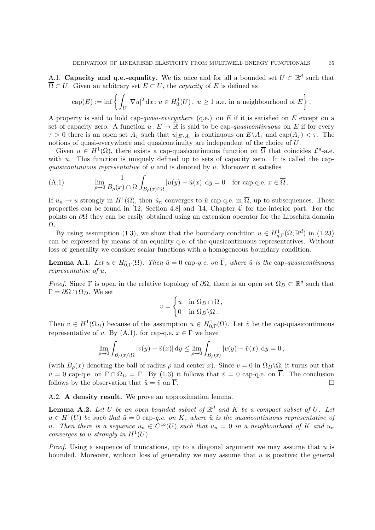A.1. Capacity and q.e.-equality. We fix once and for all a bounded set  $U \subset \mathbb{R}^d$  such that  $\overline{\Omega} \subset U$ . Given an arbitrary set  $E \subset U$ , the *capacity* of E is defined as

$$
\operatorname{cap}(E):=\inf\left\{\int_{U}|\nabla u|^{2}\,\mathrm{d}x\colon u\in H_{0}^{1}(U)\,,\,\, u\geq 1\,\,\text{a.e. in a neighbourhood of }E\right\}.
$$

A property is said to hold cap-quasi-everywhere (q.e.) on E if it is satisfied on E except on a set of capacity zero. A function  $u: E \to \overline{\mathbb{R}}$  is said to be cap-quasicontinuous on E if for every  $\tau > 0$  there is an open set  $A_{\tau}$  such that  $u|_{E \setminus A_{\tau}}$  is continuous on  $E \setminus A_{\tau}$  and  $cap(A_{\tau}) < \tau$ . The notions of quasi-everywhere and quasicontinuity are independent of the choice of U.

Given  $u \in H^1(\Omega)$ , there exists a cap-quasicontinuous function on  $\overline{\Omega}$  that coincides  $\mathcal{L}^d$ -a.e. with  $u$ . This function is uniquely defined up to sets of capacity zero. It is called the capquasicontinuous representative of u and is denoted by  $\tilde{u}$ . Moreover it satisfies

(A.1) 
$$
\lim_{\rho \to 0} \frac{1}{B_{\rho}(x) \cap \Omega} \int_{B_{\rho}(x) \cap \Omega} |u(y) - \tilde{u}(x)| dy = 0 \text{ for cap-q.e. } x \in \overline{\Omega}.
$$

If  $u_n \to u$  strongly in  $H^1(\Omega)$ , then  $\tilde{u}_n$  converges to  $\tilde{u}$  cap-q.e. in  $\overline{\Omega}$ , up to subsequences. These properties can be found in [12, Section 4.8] and [14, Chapter 4] for the interior part. For the points on  $\partial\Omega$  they can be easily obtained using an extension operator for the Lipschitz domain Ω.

By using assumption (1.3), we show that the boundary condition  $u \in H^1_{g,\Gamma}(\Omega;\mathbb{R}^d)$  in (1.23) can be expressed by means of an equality q.e. of the quasicontinuous representatives. Without loss of generality we consider scalar functions with a homogeneous boundary condition.

**Lemma A.1.** Let  $u \in H^1_{0,\Gamma}(\Omega)$ . Then  $\tilde{u} = 0$  cap-q.e. on  $\overline{\Gamma}$ , where  $\tilde{u}$  is the cap-quasicontinuous representative of u.

Proof. Since  $\Gamma$  is open in the relative topology of  $\partial\Omega$ , there is an open set  $\Omega_D \subset \mathbb{R}^d$  such that  $\Gamma = \partial \Omega \cap \Omega_D$ . We set

$$
v = \begin{cases} u & \text{in } \Omega_D \cap \Omega, \\ 0 & \text{in } \Omega_D \backslash \Omega. \end{cases}
$$

Then  $v \in H^1(\Omega_D)$  because of the assumption  $u \in H^1_{0,\Gamma}(\Omega)$ . Let  $\tilde{v}$  be the cap-quasicontinuous representative of v. By (A.1), for cap-q.e.  $x \in \Gamma$  we have

$$
\lim_{\rho \to 0} \int_{B_{\rho}(x) \setminus \Omega} |v(y) - \tilde{v}(x)| \, dy \le \lim_{\rho \to 0} \int_{B_{\rho}(x)} |v(y) - \tilde{v}(x)| \, dy = 0,
$$

(with  $B_\rho(x)$  denoting the ball of radius  $\rho$  and center x). Since  $v = 0$  in  $\Omega_D \backslash \Omega$ , it turns out that  $\tilde{v} = 0$  cap-q.e. on  $\Gamma \cap \Omega_D = \Gamma$ . By (1.3) it follows that  $\tilde{v} = 0$  cap-q.e. on  $\overline{\Gamma}$ . The conclusion follows by the observation that  $\tilde{u} = \tilde{v}$  on  $\overline{\Gamma}$ . follows by the observation that  $\tilde{u} = \tilde{v}$  on  $\overline{\Gamma}$ .

A.2. A density result. We prove an approximation lemma.

**Lemma A.2.** Let U be an open bounded subset of  $\mathbb{R}^d$  and K be a compact subset of U. Let  $u \in H^1(U)$  be such that  $\tilde{u} = 0$  cap-q.e. on K, where  $\tilde{u}$  is the quasicontinuous representative of u. Then there is a sequence  $u_n \in C^{\infty}(U)$  such that  $u_n = 0$  in a neighbourhood of K and  $u_n$ converges to u strongly in  $H^1(U)$ .

*Proof.* Using a sequence of truncations, up to a diagonal argument we may assume that  $u$  is bounded. Moreover, without loss of generality we may assume that  $u$  is positive; the general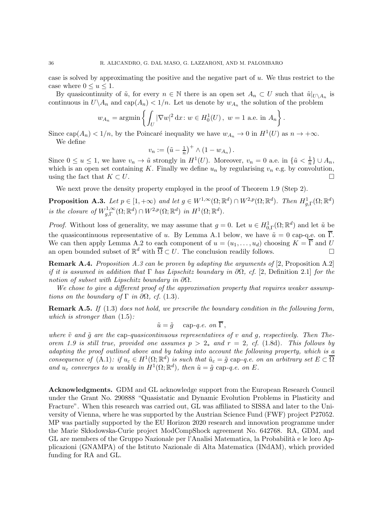case is solved by approximating the positive and the negative part of  $u$ . We thus restrict to the case where  $0 \le u \le 1$ .

By quasicontinuity of  $\tilde{u}$ , for every  $n \in \mathbb{N}$  there is an open set  $A_n \subset U$  such that  $\tilde{u}|_{U\setminus A_n}$  is continuous in  $U \backslash A_n$  and  $cap(A_n) < 1/n$ . Let us denote by  $w_{A_n}$  the solution of the problem

$$
w_{A_n} = \operatorname{argmin} \left\{ \int_U |\nabla w|^2 dx \colon w \in H_0^1(U), \ w = 1 \text{ a.e. in } A_n \right\}.
$$

Since  $cap(A_n) < 1/n$ , by the Poincaré inequality we have  $w_{A_n} \to 0$  in  $H^1(U)$  as  $n \to +\infty$ . We define

$$
v_n := \left(\tilde{u} - \frac{1}{n}\right)^+ \wedge \left(1 - w_{A_n}\right).
$$

Since  $0 \le u \le 1$ , we have  $v_n \to \tilde{u}$  strongly in  $H^1(U)$ . Moreover,  $v_n = 0$  a.e. in  $\{\tilde{u} < \frac{1}{n}\}$  $\frac{1}{n}\}\cup A_n,$ which is an open set containing K. Finally we define  $u_n$  by regularising  $v_n$  e.g. by convolution, using the fact that  $K \subset U$ .

We next prove the density property employed in the proof of Theorem 1.9 (Step 2).

**Proposition A.3.** Let  $p \in [1, +\infty)$  and let  $g \in W^{1,\infty}(\Omega; \mathbb{R}^d) \cap W^{2,p}(\Omega; \mathbb{R}^d)$ . Then  $H^1_{g,\Gamma}(\Omega; \mathbb{R}^d)$ is the closure of  $W^{1,\infty}_{g,\Gamma}(\Omega;\mathbb{R}^d) \cap W^{2,p}(\Omega;\mathbb{R}^d)$  in  $H^1(\Omega;\mathbb{R}^d)$ .

*Proof.* Without loss of generality, we may assume that  $g = 0$ . Let  $u \in H^1_{0,\Gamma}(\Omega;\mathbb{R}^d)$  and let  $\tilde{u}$  be the quasicontinuous representative of u. By Lemma A.1 below, we have  $\tilde{u} = 0$  cap-q.e. on  $\overline{\Gamma}$ . We can then apply Lemma A.2 to each component of  $u = (u_1, \ldots, u_d)$  choosing  $K = \overline{\Gamma}$  and U an open bounded subset of  $\mathbb{R}^d$  with  $\overline{\Omega} \subset U$ . The conclusion readily follows.

Remark A.4. Proposition A.3 can be proven by adapting the arguments of [2, Proposition A.2] if it is assumed in addition that Γ has Lipschitz boundary in  $\partial\Omega$ , cf. [2, Definition 2.1] for the notion of subset with Lipschitz boundary in  $\partial\Omega$ .

We chose to give a different proof of the approximation property that requires weaker assumptions on the boundary of  $\Gamma$  in  $\partial\Omega$ , cf. (1.3).

**Remark A.5.** If (1.3) does not hold, we prescribe the boundary condition in the following form, which is stronger than  $(1.5)$ :

$$
\tilde{u} = \tilde{g} \quad \text{cap-}q.e. \text{ on } \Gamma \,,
$$

where  $\tilde{v}$  and  $\tilde{q}$  are the cap-quasicontinuous representatives of v and q, respectively. Then Theorem 1.9 is still true, provided one assumes  $p > 2<sub>*</sub>$  and  $r = 2$ , cf. (1.8d). This follows by adapting the proof outlined above and by taking into account the following property, which is a consequence of  $(A.1)$ : if  $u_{\varepsilon} \in H^1(\Omega;\mathbb{R}^d)$  is such that  $\tilde{u}_{\varepsilon} = \tilde{g}$  cap-q.e. on an arbitrary set  $E \subset \overline{\Omega}$ and  $u_{\varepsilon}$  converges to u weakly in  $H^1(\Omega;\mathbb{R}^d)$ , then  $\tilde{u} = \tilde{g}$  cap-q.e. on E.

Acknowledgments. GDM and GL acknowledge support from the European Research Council under the Grant No. 290888 "Quasistatic and Dynamic Evolution Problems in Plasticity and Fracture". When this research was carried out, GL was affiliated to SISSA and later to the University of Vienna, where he was supported by the Austrian Science Fund (FWF) project P27052. MP was partially supported by the EU Horizon 2020 research and innovation programme under the Marie Skłodowska-Curie project ModCompShock agreement No. 642768. RA, GDM, and GL are members of the Gruppo Nazionale per l'Analisi Matematica, la Probabilità e le loro Applicazioni (GNAMPA) of the Istituto Nazionale di Alta Matematica (INdAM), which provided funding for RA and GL.